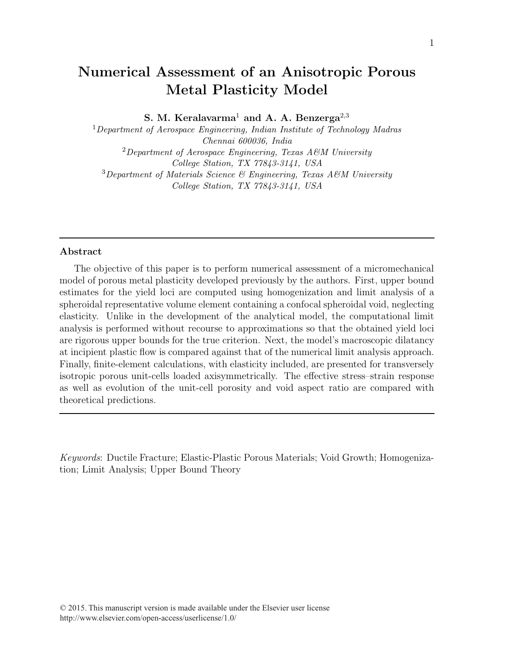# Numerical Assessment of an Anisotropic Porous Metal Plasticity Model

S. M. Keralavarma<sup>1</sup> and A. A. Benzerga<sup>2,3</sup>

<sup>1</sup>Department of Aerospace Engineering, Indian Institute of Technology Madras Chennai 600036, India <sup>2</sup>Department of Aerospace Engineering, Texas A&M University College Station, TX 77843-3141, USA

<sup>3</sup>Department of Materials Science & Engineering, Texas A&M University College Station, TX 77843-3141, USA

# Abstract

The objective of this paper is to perform numerical assessment of a micromechanical model of porous metal plasticity developed previously by the authors. First, upper bound estimates for the yield loci are computed using homogenization and limit analysis of a spheroidal representative volume element containing a confocal spheroidal void, neglecting elasticity. Unlike in the development of the analytical model, the computational limit analysis is performed without recourse to approximations so that the obtained yield loci are rigorous upper bounds for the true criterion. Next, the model's macroscopic dilatancy at incipient plastic flow is compared against that of the numerical limit analysis approach. Finally, finite-element calculations, with elasticity included, are presented for transversely isotropic porous unit-cells loaded axisymmetrically. The effective stress–strain response as well as evolution of the unit-cell porosity and void aspect ratio are compared with theoretical predictions.

Keywords: Ductile Fracture; Elastic-Plastic Porous Materials; Void Growth; Homogenization; Limit Analysis; Upper Bound Theory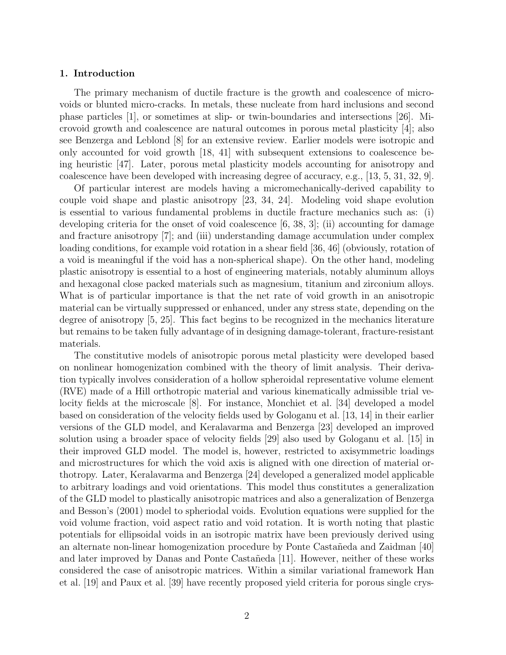# 1. Introduction

The primary mechanism of ductile fracture is the growth and coalescence of microvoids or blunted micro-cracks. In metals, these nucleate from hard inclusions and second phase particles [1], or sometimes at slip- or twin-boundaries and intersections [26]. Microvoid growth and coalescence are natural outcomes in porous metal plasticity [4]; also see Benzerga and Leblond [8] for an extensive review. Earlier models were isotropic and only accounted for void growth [18, 41] with subsequent extensions to coalescence being heuristic [47]. Later, porous metal plasticity models accounting for anisotropy and coalescence have been developed with increasing degree of accuracy, e.g., [13, 5, 31, 32, 9].

Of particular interest are models having a micromechanically-derived capability to couple void shape and plastic anisotropy [23, 34, 24]. Modeling void shape evolution is essential to various fundamental problems in ductile fracture mechanics such as: (i) developing criteria for the onset of void coalescence  $[6, 38, 3]$ ; (ii) accounting for damage and fracture anisotropy [7]; and (iii) understanding damage accumulation under complex loading conditions, for example void rotation in a shear field [36, 46] (obviously, rotation of a void is meaningful if the void has a non-spherical shape). On the other hand, modeling plastic anisotropy is essential to a host of engineering materials, notably aluminum alloys and hexagonal close packed materials such as magnesium, titanium and zirconium alloys. What is of particular importance is that the net rate of void growth in an anisotropic material can be virtually suppressed or enhanced, under any stress state, depending on the degree of anisotropy [5, 25]. This fact begins to be recognized in the mechanics literature but remains to be taken fully advantage of in designing damage-tolerant, fracture-resistant materials.

The constitutive models of anisotropic porous metal plasticity were developed based on nonlinear homogenization combined with the theory of limit analysis. Their derivation typically involves consideration of a hollow spheroidal representative volume element (RVE) made of a Hill orthotropic material and various kinematically admissible trial velocity fields at the microscale [8]. For instance, Monchiet et al. [34] developed a model based on consideration of the velocity fields used by Gologanu et al. [13, 14] in their earlier versions of the GLD model, and Keralavarma and Benzerga [23] developed an improved solution using a broader space of velocity fields [29] also used by Gologanu et al. [15] in their improved GLD model. The model is, however, restricted to axisymmetric loadings and microstructures for which the void axis is aligned with one direction of material orthotropy. Later, Keralavarma and Benzerga [24] developed a generalized model applicable to arbitrary loadings and void orientations. This model thus constitutes a generalization of the GLD model to plastically anisotropic matrices and also a generalization of Benzerga and Besson's (2001) model to spheriodal voids. Evolution equations were supplied for the void volume fraction, void aspect ratio and void rotation. It is worth noting that plastic potentials for ellipsoidal voids in an isotropic matrix have been previously derived using an alternate non-linear homogenization procedure by Ponte Castañeda and Zaidman [40] and later improved by Danas and Ponte Castañeda [11]. However, neither of these works considered the case of anisotropic matrices. Within a similar variational framework Han et al. [19] and Paux et al. [39] have recently proposed yield criteria for porous single crys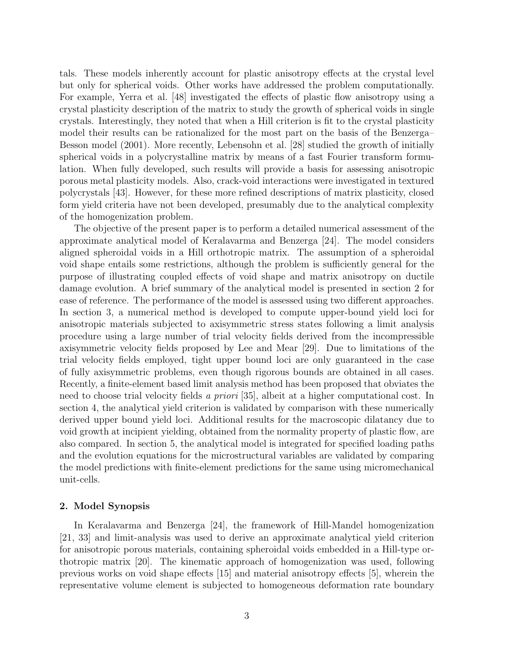tals. These models inherently account for plastic anisotropy effects at the crystal level but only for spherical voids. Other works have addressed the problem computationally. For example, Yerra et al. [48] investigated the effects of plastic flow anisotropy using a crystal plasticity description of the matrix to study the growth of spherical voids in single crystals. Interestingly, they noted that when a Hill criterion is fit to the crystal plasticity model their results can be rationalized for the most part on the basis of the Benzerga– Besson model (2001). More recently, Lebensohn et al. [28] studied the growth of initially spherical voids in a polycrystalline matrix by means of a fast Fourier transform formulation. When fully developed, such results will provide a basis for assessing anisotropic porous metal plasticity models. Also, crack-void interactions were investigated in textured polycrystals [43]. However, for these more refined descriptions of matrix plasticity, closed form yield criteria have not been developed, presumably due to the analytical complexity of the homogenization problem.

The objective of the present paper is to perform a detailed numerical assessment of the approximate analytical model of Keralavarma and Benzerga [24]. The model considers aligned spheroidal voids in a Hill orthotropic matrix. The assumption of a spheroidal void shape entails some restrictions, although the problem is sufficiently general for the purpose of illustrating coupled effects of void shape and matrix anisotropy on ductile damage evolution. A brief summary of the analytical model is presented in section 2 for ease of reference. The performance of the model is assessed using two different approaches. In section 3, a numerical method is developed to compute upper-bound yield loci for anisotropic materials subjected to axisymmetric stress states following a limit analysis procedure using a large number of trial velocity fields derived from the incompressible axisymmetric velocity fields proposed by Lee and Mear [29]. Due to limitations of the trial velocity fields employed, tight upper bound loci are only guaranteed in the case of fully axisymmetric problems, even though rigorous bounds are obtained in all cases. Recently, a finite-element based limit analysis method has been proposed that obviates the need to choose trial velocity fields a priori [35], albeit at a higher computational cost. In section 4, the analytical yield criterion is validated by comparison with these numerically derived upper bound yield loci. Additional results for the macroscopic dilatancy due to void growth at incipient yielding, obtained from the normality property of plastic flow, are also compared. In section 5, the analytical model is integrated for specified loading paths and the evolution equations for the microstructural variables are validated by comparing the model predictions with finite-element predictions for the same using micromechanical unit-cells.

### 2. Model Synopsis

In Keralavarma and Benzerga [24], the framework of Hill-Mandel homogenization [21, 33] and limit-analysis was used to derive an approximate analytical yield criterion for anisotropic porous materials, containing spheroidal voids embedded in a Hill-type orthotropic matrix [20]. The kinematic approach of homogenization was used, following previous works on void shape effects [15] and material anisotropy effects [5], wherein the representative volume element is subjected to homogeneous deformation rate boundary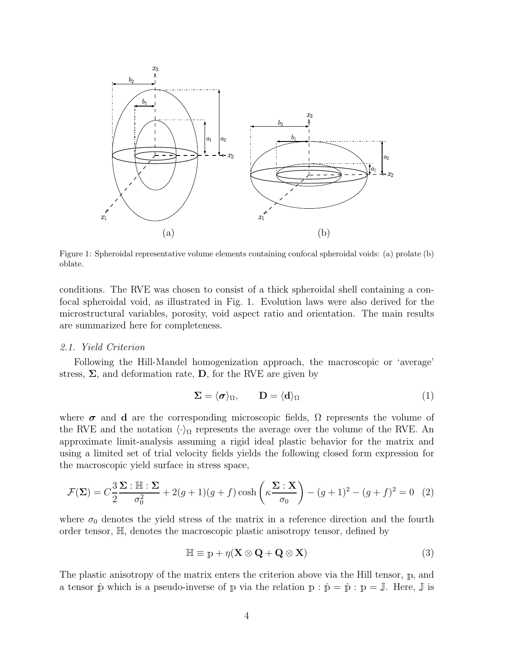

Figure 1: Spheroidal representative volume elements containing confocal spheroidal voids: (a) prolate (b) oblate.

conditions. The RVE was chosen to consist of a thick spheroidal shell containing a confocal spheroidal void, as illustrated in Fig. 1. Evolution laws were also derived for the microstructural variables, porosity, void aspect ratio and orientation. The main results are summarized here for completeness.

## 2.1. Yield Criterion

Following the Hill-Mandel homogenization approach, the macroscopic or 'average' stress,  $\Sigma$ , and deformation rate,  $D$ , for the RVE are given by

$$
\Sigma = \langle \sigma \rangle_{\Omega}, \qquad \mathbf{D} = \langle \mathbf{d} \rangle_{\Omega} \tag{1}
$$

where  $\sigma$  and d are the corresponding microscopic fields,  $\Omega$  represents the volume of the RVE and the notation  $\langle \cdot \rangle_{\Omega}$  represents the average over the volume of the RVE. An approximate limit-analysis assuming a rigid ideal plastic behavior for the matrix and using a limited set of trial velocity fields yields the following closed form expression for the macroscopic yield surface in stress space,

$$
\mathcal{F}(\Sigma) = C \frac{3}{2} \frac{\Sigma : \mathbb{H} : \Sigma}{\sigma_0^2} + 2(g+1)(g+f) \cosh\left(\kappa \frac{\Sigma : X}{\sigma_0}\right) - (g+1)^2 - (g+f)^2 = 0 \quad (2)
$$

where  $\sigma_0$  denotes the yield stress of the matrix in a reference direction and the fourth order tensor, H, denotes the macroscopic plastic anisotropy tensor, defined by

$$
\mathbb{H} \equiv \mathbb{p} + \eta (\mathbf{X} \otimes \mathbf{Q} + \mathbf{Q} \otimes \mathbf{X}) \tag{3}
$$

The plastic anisotropy of the matrix enters the criterion above via the Hill tensor, <sup>p</sup>, and a tensor  $\hat{p}$  which is a pseudo-inverse of p via the relation  $p : \hat{p} = \hat{p} : p = \mathbb{J}$ . Here,  $\mathbb{J}$  is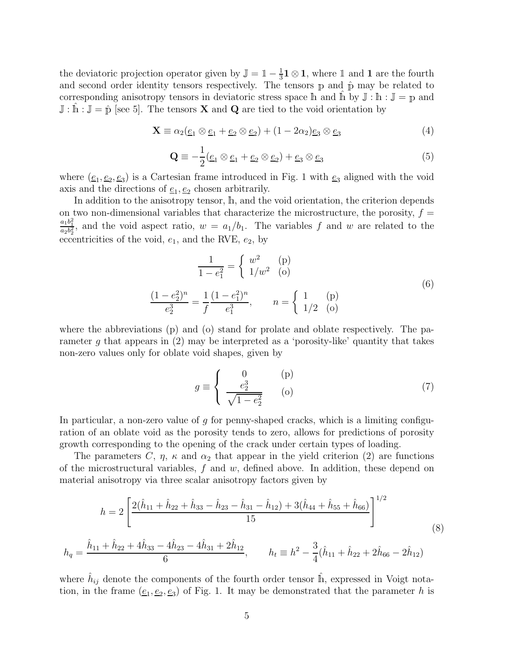the deviatoric projection operator given by  $\mathbb{J} = \mathbb{1} - \frac{1}{3}$  $\frac{1}{3}$ **1**  $\otimes$  **1**, where **1** and **1** are the fourth and second order identity tensors respectively. The tensors  $p$  and  $\hat{p}$  may be related to corresponding anisotropy tensors in deviatoric stress space h and h by  $\mathbb{J}: \mathbb{h}: \mathbb{J} = \mathbb{p}$  and  $\mathbb{J} : \mathbb{\dot{h}} : \mathbb{J} = \hat{\mathbb{p}}$  [see 5]. The tensors **X** and **Q** are tied to the void orientation by

$$
\mathbf{X} \equiv \alpha_2(\underline{e}_1 \otimes \underline{e}_1 + \underline{e}_2 \otimes \underline{e}_2) + (1 - 2\alpha_2)\underline{e}_3 \otimes \underline{e}_3 \tag{4}
$$

$$
\mathbf{Q} \equiv -\frac{1}{2}(\underline{e}_1 \otimes \underline{e}_1 + \underline{e}_2 \otimes \underline{e}_2) + \underline{e}_3 \otimes \underline{e}_3 \tag{5}
$$

where  $(\underline{e}_1, \underline{e}_2, \underline{e}_3)$  is a Cartesian frame introduced in Fig. 1 with  $\underline{e}_3$  aligned with the void axis and the directions of  $\underline{e}_1, \underline{e}_2$  chosen arbitrarily.

In addition to the anisotropy tensor, <sup>h</sup>, and the void orientation, the criterion depends on two non-dimensional variables that characterize the microstructure, the porosity,  $f =$  $\frac{a_1b_1^2}{a_2b_2^2}$ , and the void aspect ratio,  $w = a_1/b_1$ . The variables f and w are related to the eccentricities of the void,  $e_1$ , and the RVE,  $e_2$ , by

$$
\frac{1}{1 - e_1^2} = \begin{cases} w^2 & \text{(p)}\\ 1/w^2 & \text{(o)} \end{cases}
$$
\n
$$
\frac{(1 - e_2^2)^n}{e_2^3} = \frac{1}{f} \frac{(1 - e_1^2)^n}{e_1^3}, \qquad n = \begin{cases} 1 & \text{(p)}\\ 1/2 & \text{(o)} \end{cases}
$$
\n(6)

where the abbreviations (p) and (o) stand for prolate and oblate respectively. The parameter g that appears in  $(2)$  may be interpreted as a 'porosity-like' quantity that takes non-zero values only for oblate void shapes, given by

$$
g \equiv \begin{cases} 0 & \text{(p)}\\ \frac{e_2^3}{\sqrt{1 - e_2^2}} & \text{(o)} \end{cases}
$$
 (7)

In particular, a non-zero value of q for penny-shaped cracks, which is a limiting configuration of an oblate void as the porosity tends to zero, allows for predictions of porosity growth corresponding to the opening of the crack under certain types of loading.

The parameters C,  $\eta$ ,  $\kappa$  and  $\alpha_2$  that appear in the yield criterion (2) are functions of the microstructural variables,  $f$  and  $w$ , defined above. In addition, these depend on material anisotropy via three scalar anisotropy factors given by

$$
h = 2\left[\frac{2(\hat{h}_{11} + \hat{h}_{22} + \hat{h}_{33} - \hat{h}_{23} - \hat{h}_{31} - \hat{h}_{12}) + 3(\hat{h}_{44} + \hat{h}_{55} + \hat{h}_{66})}{15}\right]^{1/2}
$$
  
\n
$$
h_q = \frac{\hat{h}_{11} + \hat{h}_{22} + 4\hat{h}_{33} - 4\hat{h}_{23} - 4\hat{h}_{31} + 2\hat{h}_{12}}{6}, \qquad h_t \equiv h^2 - \frac{3}{4}(\hat{h}_{11} + \hat{h}_{22} + 2\hat{h}_{66} - 2\hat{h}_{12})
$$
\n(8)

where  $\hat{h}_{ij}$  denote the components of the fourth order tensor  $\hat{h}$ , expressed in Voigt notation, in the frame  $(\underline{e}_1, \underline{e}_2, \underline{e}_3)$  of Fig. 1. It may be demonstrated that the parameter h is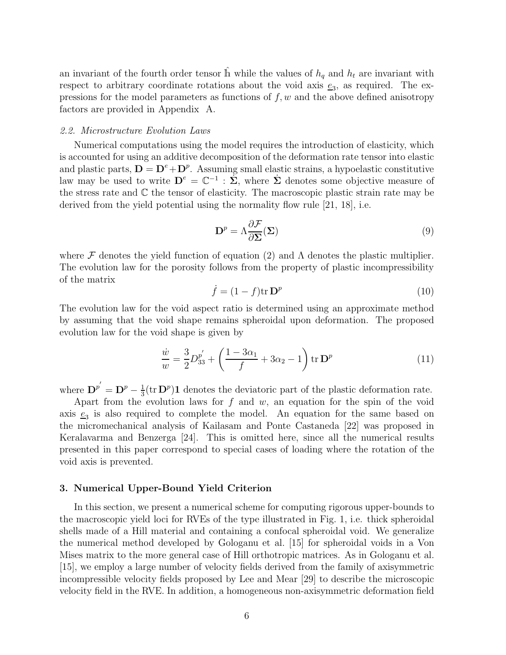an invariant of the fourth order tensor  $\hat{\mathbb{h}}$  while the values of  $h_q$  and  $h_t$  are invariant with respect to arbitrary coordinate rotations about the void axis  $\underline{e}_3$ , as required. The expressions for the model parameters as functions of  $f, w$  and the above defined anisotropy factors are provided in Appendix A.

### 2.2. Microstructure Evolution Laws

Numerical computations using the model requires the introduction of elasticity, which is accounted for using an additive decomposition of the deformation rate tensor into elastic and plastic parts,  $D = D^e + D^p$ . Assuming small elastic strains, a hypoelastic constitutive law may be used to write  $D^e = \mathbb{C}^{-1}$ :  $\dot{\Sigma}$ , where  $\dot{\Sigma}$  denotes some objective measure of the stress rate and C the tensor of elasticity. The macroscopic plastic strain rate may be derived from the yield potential using the normality flow rule [21, 18], i.e.

$$
\mathbf{D}^p = \Lambda \frac{\partial \mathcal{F}}{\partial \mathbf{\Sigma}}(\mathbf{\Sigma}) \tag{9}
$$

where  $\mathcal F$  denotes the yield function of equation (2) and  $\Lambda$  denotes the plastic multiplier. The evolution law for the porosity follows from the property of plastic incompressibility of the matrix

$$
\dot{f} = (1 - f)\text{tr}\,\mathbf{D}^p\tag{10}
$$

The evolution law for the void aspect ratio is determined using an approximate method by assuming that the void shape remains spheroidal upon deformation. The proposed evolution law for the void shape is given by

$$
\frac{\dot{w}}{w} = \frac{3}{2}D_{33}^{p'} + \left(\frac{1 - 3\alpha_1}{f} + 3\alpha_2 - 1\right) \text{tr } \mathbf{D}^p \tag{11}
$$

where  $\mathbf{D}^{p'} = \mathbf{D}^p - \frac{1}{3}$  $\frac{1}{3}$ (tr  $D^p$ )1 denotes the deviatoric part of the plastic deformation rate.

Apart from the evolution laws for  $f$  and  $w$ , an equation for the spin of the void axis  $\underline{e}_3$  is also required to complete the model. An equation for the same based on the micromechanical analysis of Kailasam and Ponte Castaneda [22] was proposed in Keralavarma and Benzerga [24]. This is omitted here, since all the numerical results presented in this paper correspond to special cases of loading where the rotation of the void axis is prevented.

## 3. Numerical Upper-Bound Yield Criterion

In this section, we present a numerical scheme for computing rigorous upper-bounds to the macroscopic yield loci for RVEs of the type illustrated in Fig. 1, i.e. thick spheroidal shells made of a Hill material and containing a confocal spheroidal void. We generalize the numerical method developed by Gologanu et al. [15] for spheroidal voids in a Von Mises matrix to the more general case of Hill orthotropic matrices. As in Gologanu et al. [15], we employ a large number of velocity fields derived from the family of axisymmetric incompressible velocity fields proposed by Lee and Mear [29] to describe the microscopic velocity field in the RVE. In addition, a homogeneous non-axisymmetric deformation field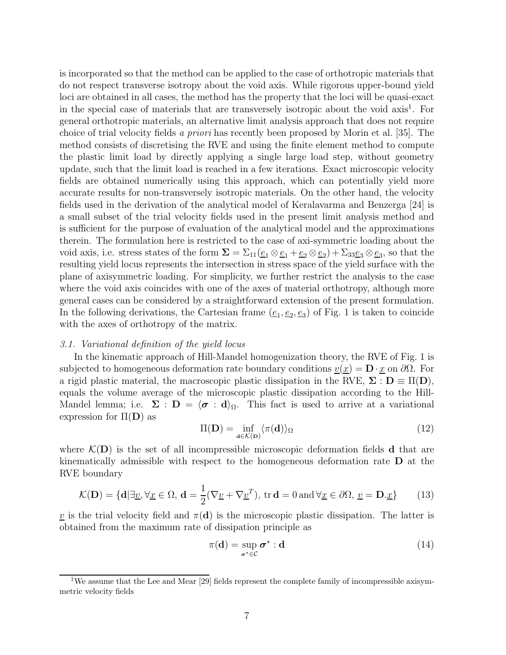is incorporated so that the method can be applied to the case of orthotropic materials that do not respect transverse isotropy about the void axis. While rigorous upper-bound yield loci are obtained in all cases, the method has the property that the loci will be quasi-exact in the special case of materials that are transversely isotropic about the void axis<sup>1</sup>. For general orthotropic materials, an alternative limit analysis approach that does not require choice of trial velocity fields a priori has recently been proposed by Morin et al. [35]. The method consists of discretising the RVE and using the finite element method to compute the plastic limit load by directly applying a single large load step, without geometry update, such that the limit load is reached in a few iterations. Exact microscopic velocity fields are obtained numerically using this approach, which can potentially yield more accurate results for non-transversely isotropic materials. On the other hand, the velocity fields used in the derivation of the analytical model of Keralavarma and Benzerga [24] is a small subset of the trial velocity fields used in the present limit analysis method and is sufficient for the purpose of evaluation of the analytical model and the approximations therein. The formulation here is restricted to the case of axi-symmetric loading about the void axis, i.e. stress states of the form  $\Sigma = \Sigma_{11}(\underline{e}_1 \otimes \underline{e}_1 + \underline{e}_2 \otimes \underline{e}_2) + \Sigma_{33} \underline{e}_3 \otimes \underline{e}_3$ , so that the resulting yield locus represents the intersection in stress space of the yield surface with the plane of axisymmetric loading. For simplicity, we further restrict the analysis to the case where the void axis coincides with one of the axes of material orthotropy, although more general cases can be considered by a straightforward extension of the present formulation. In the following derivations, the Cartesian frame  $(\underline{e}_1, \underline{e}_2, \underline{e}_3)$  of Fig. 1 is taken to coincide with the axes of orthotropy of the matrix.

### 3.1. Variational definition of the yield locus

In the kinematic approach of Hill-Mandel homogenization theory, the RVE of Fig. 1 is subjected to homogeneous deformation rate boundary conditions  $v(x) = D \cdot x$  on  $\partial \Omega$ . For a rigid plastic material, the macroscopic plastic dissipation in the RVE,  $\Sigma : D \equiv \Pi(D)$ , equals the volume average of the microscopic plastic dissipation according to the Hill-Mandel lemma; i.e.  $\Sigma : D = \langle \sigma : d \rangle_{\Omega}$ . This fact is used to arrive at a variational expression for  $\Pi(D)$  as

$$
\Pi(\mathbf{D}) = \inf_{\mathbf{d} \in \mathcal{K}(\mathbf{D})} \langle \pi(\mathbf{d}) \rangle_{\Omega} \tag{12}
$$

where  $\mathcal{K}(\mathbf{D})$  is the set of all incompressible microscopic deformation fields **d** that are kinematically admissible with respect to the homogeneous deformation rate D at the RVE boundary

$$
\mathcal{K}(\mathbf{D}) = \{ \mathbf{d} | \exists \underline{v}, \forall \underline{x} \in \Omega, \, \mathbf{d} = \frac{1}{2} (\nabla \underline{v} + \nabla \underline{v}^T), \, \text{tr } \mathbf{d} = 0 \text{ and } \forall \underline{x} \in \partial \Omega, \, \underline{v} = \mathbf{D} . \underline{x} \}
$$
 (13)

<u>v</u> is the trial velocity field and  $\pi(d)$  is the microscopic plastic dissipation. The latter is obtained from the maximum rate of dissipation principle as

$$
\pi(\mathbf{d}) = \sup_{\sigma^* \in \mathcal{C}} \sigma^* : \mathbf{d} \tag{14}
$$

<sup>&</sup>lt;sup>1</sup>We assume that the Lee and Mear [29] fields represent the complete family of incompressible axisymmetric velocity fields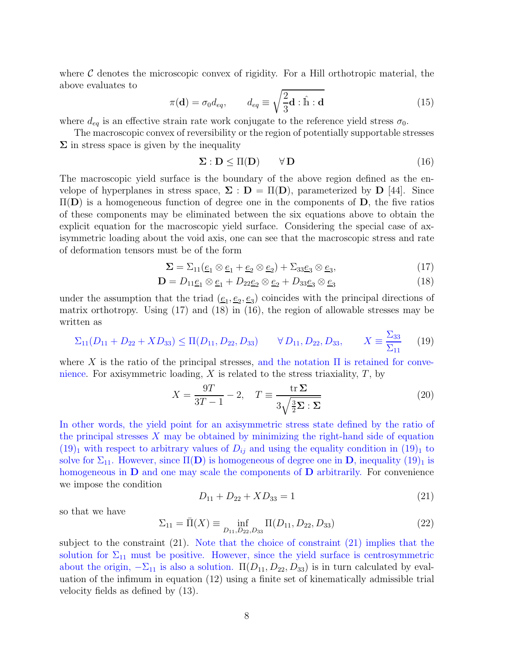where  $\mathcal C$  denotes the microscopic convex of rigidity. For a Hill orthotropic material, the above evaluates to

$$
\pi(\mathbf{d}) = \sigma_0 d_{eq}, \qquad d_{eq} \equiv \sqrt{\frac{2}{3}\mathbf{d} : \hat{\mathbf{h}} : \mathbf{d}}
$$
\n(15)

where  $d_{eq}$  is an effective strain rate work conjugate to the reference yield stress  $\sigma_0$ .

The macroscopic convex of reversibility or the region of potentially supportable stresses  $\Sigma$  in stress space is given by the inequality

$$
\Sigma : D \leq \Pi(D) \qquad \forall D \tag{16}
$$

The macroscopic yield surface is the boundary of the above region defined as the envelope of hyperplanes in stress space,  $\Sigma : D = \Pi(D)$ , parameterized by D [44]. Since  $\Pi(D)$  is a homogeneous function of degree one in the components of D, the five ratios of these components may be eliminated between the six equations above to obtain the explicit equation for the macroscopic yield surface. Considering the special case of axisymmetric loading about the void axis, one can see that the macroscopic stress and rate of deformation tensors must be of the form

$$
\Sigma = \Sigma_{11}(\underline{e}_1 \otimes \underline{e}_1 + \underline{e}_2 \otimes \underline{e}_2) + \Sigma_{33} \underline{e}_3 \otimes \underline{e}_3, \tag{17}
$$

$$
\mathbf{D} = D_{11}\underline{e}_1 \otimes \underline{e}_1 + D_{22}\underline{e}_2 \otimes \underline{e}_2 + D_{33}\underline{e}_3 \otimes \underline{e}_3 \tag{18}
$$

under the assumption that the triad  $(\underline{e}_1, \underline{e}_2, \underline{e}_3)$  coincides with the principal directions of matrix orthotropy. Using (17) and (18) in (16), the region of allowable stresses may be written as

$$
\Sigma_{11}(D_{11} + D_{22} + X D_{33}) \le \Pi(D_{11}, D_{22}, D_{33}) \qquad \forall D_{11}, D_{22}, D_{33}, \qquad X \equiv \frac{\Sigma_{33}}{\Sigma_{11}} \tag{19}
$$

where X is the ratio of the principal stresses, and the notation  $\Pi$  is retained for convenience. For axisymmetric loading,  $X$  is related to the stress triaxiality,  $T$ , by

$$
X = \frac{9T}{3T - 1} - 2, \quad T \equiv \frac{\text{tr}\,\Sigma}{3\sqrt{\frac{3}{2}\Sigma \cdot \Sigma}}
$$
(20)

In other words, the yield point for an axisymmetric stress state defined by the ratio of the principal stresses  $X$  may be obtained by minimizing the right-hand side of equation  $(19)<sub>1</sub>$  with respect to arbitrary values of  $D_{ij}$  and using the equality condition in  $(19)<sub>1</sub>$  to solve for  $\Sigma_{11}$ . However, since  $\Pi(D)$  is homogeneous of degree one in D, inequality  $(19)_1$  is homogeneous in  **and one may scale the components of**  $**D**$  **arbitrarily. For convenience** we impose the condition

$$
D_{11} + D_{22} + X D_{33} = 1\tag{21}
$$

so that we have

$$
\Sigma_{11} = \bar{\Pi}(X) \equiv \inf_{D_{11}, D_{22}, D_{33}} \Pi(D_{11}, D_{22}, D_{33})
$$
\n(22)

subject to the constraint (21). Note that the choice of constraint (21) implies that the solution for  $\Sigma_{11}$  must be positive. However, since the yield surface is centrosymmetric about the origin,  $-\Sigma_{11}$  is also a solution.  $\Pi(D_{11}, D_{22}, D_{33})$  is in turn calculated by evaluation of the infimum in equation (12) using a finite set of kinematically admissible trial velocity fields as defined by (13).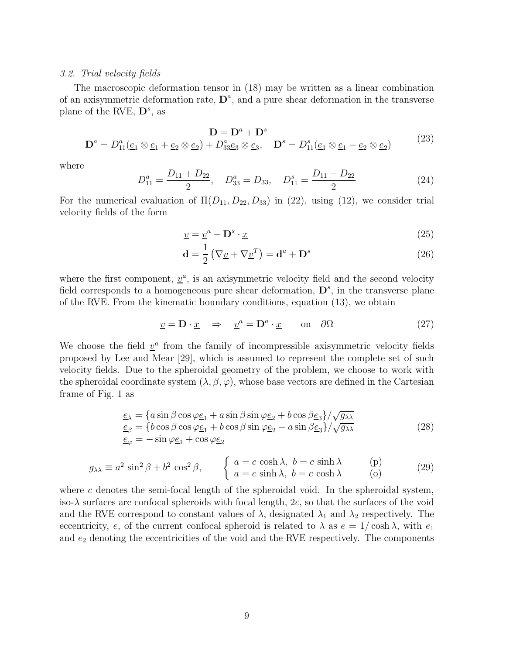#### 3.2. Trial velocity fields

The macroscopic deformation tensor in (18) may be written as a linear combination of an axisymmetric deformation rate,  $\mathbf{D}^a$ , and a pure shear deformation in the transverse plane of the RVE,  $\mathbf{D}^s$ , as

$$
\mathbf{D} = \mathbf{D}^a + \mathbf{D}^s
$$
  
\n
$$
\mathbf{D} = D^a + \mathbf{D}^s
$$
  
\n
$$
\mathbf{D}^a = D_{11}^a (\underline{e}_1 \otimes \underline{e}_1 + \underline{e}_2 \otimes \underline{e}_2) + D_{33}^a \underline{e}_3 \otimes \underline{e}_3, \quad \mathbf{D}^s = D_{11}^s (\underline{e}_1 \otimes \underline{e}_1 - \underline{e}_2 \otimes \underline{e}_2)
$$
\n(23)

where

$$
D_{11}^a = \frac{D_{11} + D_{22}}{2}, \quad D_{33}^a = D_{33}, \quad D_{11}^s = \frac{D_{11} - D_{22}}{2}
$$
 (24)

For the numerical evaluation of  $\Pi(D_{11}, D_{22}, D_{33})$  in (22), using (12), we consider trial velocity fields of the form

$$
\underline{v} = \underline{v}^a + \mathbf{D}^s \cdot \underline{x} \tag{25}
$$

$$
\mathbf{d} = \frac{1}{2} \left( \nabla \underline{v} + \nabla \underline{v}^T \right) = \mathbf{d}^a + \mathbf{D}^s \tag{26}
$$

where the first component,  $\underline{v}^a$ , is an axisymmetric velocity field and the second velocity field corresponds to a homogeneous pure shear deformation,  $\mathbf{D}^s$ , in the transverse plane of the RVE. From the kinematic boundary conditions, equation (13), we obtain

$$
\underline{v} = \mathbf{D} \cdot \underline{x} \quad \Rightarrow \quad \underline{v}^a = \mathbf{D}^a \cdot \underline{x} \qquad \text{on} \quad \partial \Omega \tag{27}
$$

We choose the field  $v^a$  from the family of incompressible axisymmetric velocity fields proposed by Lee and Mear [29], which is assumed to represent the complete set of such velocity fields. Due to the spheroidal geometry of the problem, we choose to work with the spheroidal coordinate system  $(\lambda, \beta, \varphi)$ , whose base vectors are defined in the Cartesian frame of Fig. 1 as

$$
\underline{e}_{\lambda} = \{ a \sin \beta \cos \varphi \underline{e}_1 + a \sin \beta \sin \varphi \underline{e}_2 + b \cos \beta \underline{e}_3 \} / \sqrt{g_{\lambda \lambda}}
$$
  
\n
$$
\underline{e}_{\beta} = \{ b \cos \beta \cos \varphi \underline{e}_1 + b \cos \beta \sin \varphi \underline{e}_2 - a \sin \beta \underline{e}_3 \} / \sqrt{g_{\lambda \lambda}}
$$
  
\n
$$
\underline{e}_{\varphi} = - \sin \varphi \underline{e}_1 + \cos \varphi \underline{e}_2
$$
\n(28)

$$
g_{\lambda\lambda} \equiv a^2 \sin^2 \beta + b^2 \cos^2 \beta, \qquad \begin{cases} a = c \cosh \lambda, & b = c \sinh \lambda \\ a = c \sinh \lambda, & b = c \cosh \lambda \end{cases} \qquad (29)
$$

where c denotes the semi-focal length of the spheroidal void. In the spheroidal system, iso- $\lambda$  surfaces are confocal spheroids with focal length, 2c, so that the surfaces of the void and the RVE correspond to constant values of  $\lambda$ , designated  $\lambda_1$  and  $\lambda_2$  respectively. The eccentricity, e, of the current confocal spheroid is related to  $\lambda$  as  $e = 1/\cosh \lambda$ , with  $e_1$ and  $e_2$  denoting the eccentricities of the void and the RVE respectively. The components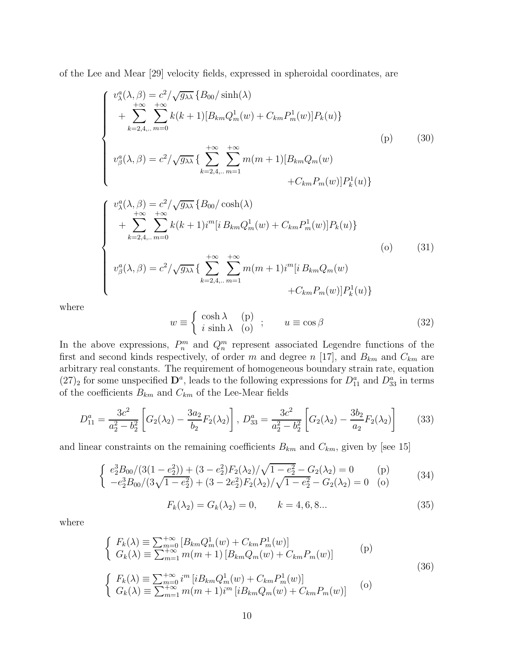of the Lee and Mear [29] velocity fields, expressed in spheroidal coordinates, are

$$
\begin{cases}\nv_{\lambda}^{a}(\lambda,\beta) = c^{2}/\sqrt{g_{\lambda\lambda}} \{B_{00}/\sinh(\lambda) \\
+ \sum_{k=2,4,\dots}^{+\infty} \sum_{m=0}^{+\infty} k(k+1)[B_{km}Q_{m}^{1}(w) + C_{km}P_{m}^{1}(w)]P_{k}(u)\} \\
v_{\beta}^{a}(\lambda,\beta) = c^{2}/\sqrt{g_{\lambda\lambda}} \{\sum_{k=2,4,\dots}^{+\infty} \sum_{m=1}^{+\infty} m(m+1)[B_{km}Q_{m}(w) \\
+ C_{km}P_{m}(w)]P_{k}^{1}(u)\}\n\end{cases}
$$
\n(30)

$$
\begin{cases}\nv_{\lambda}^{a}(\lambda,\beta) = c^{2}/\sqrt{g_{\lambda\lambda}} \{B_{00}/\cosh(\lambda) \\
+ \sum_{k=2,4,\dots}^{+\infty} \sum_{m=0}^{+\infty} k(k+1)i^{m}[i B_{km}Q_{m}^{1}(w) + C_{km}P_{m}^{1}(w)]P_{k}(u)\} \\
v_{\beta}^{a}(\lambda,\beta) = c^{2}/\sqrt{g_{\lambda\lambda}} \{\sum_{k=2,4,\dots}^{+\infty} \sum_{m=1}^{+\infty} m(m+1)i^{m}[i B_{km}Q_{m}(w) \\
+ C_{km}P_{m}(w)]P_{k}^{1}(u)\}\n\end{cases}
$$
\n(31)

where

$$
w \equiv \begin{cases} \cosh \lambda & \text{(p)} \\ i \sinh \lambda & \text{(o)} \end{cases}; \qquad u \equiv \cos \beta \tag{32}
$$

In the above expressions,  $P_n^m$  and  $Q_n^m$  represent associated Legendre functions of the first and second kinds respectively, of order m and degree n [17], and  $B_{km}$  and  $C_{km}$  are arbitrary real constants. The requirement of homogeneous boundary strain rate, equation  $(27)_2$  for some unspecified  $\mathbf{D}^a$ , leads to the following expressions for  $D_{11}^a$  and  $D_{33}^a$  in terms of the coefficients  $B_{km}$  and  $C_{km}$  of the Lee-Mear fields

$$
D_{11}^{a} = \frac{3c^{2}}{a_{2}^{2} - b_{2}^{2}} \left[ G_{2}(\lambda_{2}) - \frac{3a_{2}}{b_{2}} F_{2}(\lambda_{2}) \right], \ D_{33}^{a} = \frac{3c^{2}}{a_{2}^{2} - b_{2}^{2}} \left[ G_{2}(\lambda_{2}) - \frac{3b_{2}}{a_{2}} F_{2}(\lambda_{2}) \right] \tag{33}
$$

and linear constraints on the remaining coefficients  $B_{km}$  and  $C_{km}$ , given by [see 15]

$$
\begin{cases}\ne_2^3 B_{00}/(3(1-e_2^2)) + (3-e_2^2)F_2(\lambda_2)/\sqrt{1-e_2^2} - G_2(\lambda_2) = 0 & \text{(p)}\\ -e_2^3 B_{00}/(3\sqrt{1-e_2^2}) + (3-2e_2^2)F_2(\lambda_2)/\sqrt{1-e_2^2} - G_2(\lambda_2) = 0 & \text{(o)}\end{cases}
$$
\n(34)

$$
F_k(\lambda_2) = G_k(\lambda_2) = 0, \qquad k = 4, 6, 8... \tag{35}
$$

where

$$
\begin{cases}\nF_k(\lambda) \equiv \sum_{m=0}^{+\infty} \left[ B_{km} Q_m^1(w) + C_{km} P_m^1(w) \right] \\
G_k(\lambda) \equiv \sum_{m=1}^{+\infty} m(m+1) \left[ B_{km} Q_m(w) + C_{km} P_m(w) \right]\n\end{cases} (p)
$$
\n(36)

$$
\begin{cases}\nF_k(\lambda) \equiv \sum_{m=0}^{+\infty} i^m \left[ i B_{km} Q_m^1(w) + C_{km} P_m^1(w) \right] \\
G_k(\lambda) \equiv \sum_{m=1}^{+\infty} m(m+1) i^m \left[ i B_{km} Q_m(w) + C_{km} P_m(w) \right]\n\end{cases} (o)
$$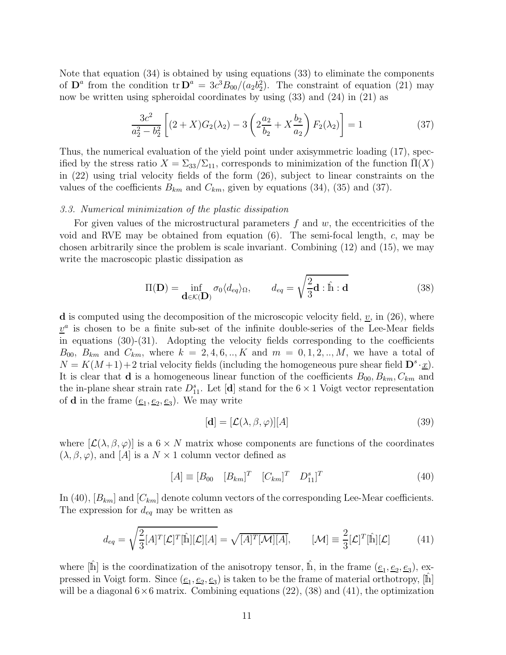Note that equation (34) is obtained by using equations (33) to eliminate the components of  $\mathbf{D}^a$  from the condition tr $\mathbf{D}^a = 3c^3B_{00}/(a_2b_2^2)$ . The constraint of equation (21) may now be written using spheroidal coordinates by using (33) and (24) in (21) as

$$
\frac{3c^2}{a_2^2 - b_2^2} \left[ (2 + X)G_2(\lambda_2) - 3\left( 2\frac{a_2}{b_2} + X\frac{b_2}{a_2} \right) F_2(\lambda_2) \right] = 1 \tag{37}
$$

Thus, the numerical evaluation of the yield point under axisymmetric loading (17), specified by the stress ratio  $X = \Sigma_{33}/\Sigma_{11}$ , corresponds to minimization of the function  $\Pi(X)$ in (22) using trial velocity fields of the form (26), subject to linear constraints on the values of the coefficients  $B_{km}$  and  $C_{km}$ , given by equations (34), (35) and (37).

## 3.3. Numerical minimization of the plastic dissipation

For given values of the microstructural parameters  $f$  and  $w$ , the eccentricities of the void and RVE may be obtained from equation  $(6)$ . The semi-focal length, c, may be chosen arbitrarily since the problem is scale invariant. Combining (12) and (15), we may write the macroscopic plastic dissipation as

$$
\Pi(\mathbf{D}) = \inf_{\mathbf{d}\in\mathcal{K}(\mathbf{D})} \sigma_0 \langle d_{eq} \rangle_{\Omega}, \qquad d_{eq} = \sqrt{\frac{2}{3}\mathbf{d} : \hat{\mathbb{h}} : \mathbf{d}} \tag{38}
$$

**d** is computed using the decomposition of the microscopic velocity field,  $v$ , in (26), where  $v^a$  is chosen to be a finite sub-set of the infinite double-series of the Lee-Mear fields in equations (30)-(31). Adopting the velocity fields corresponding to the coefficients  $B_{00}$ ,  $B_{km}$  and  $C_{km}$ , where  $k = 2, 4, 6, ..., K$  and  $m = 0, 1, 2, ..., M$ , we have a total of  $N = K(M+1) + 2$  trial velocity fields (including the homogeneous pure shear field  $\mathbf{D}^s \cdot \underline{x}$ ). It is clear that **d** is a homogeneous linear function of the coefficients  $B_{00}, B_{km}, C_{km}$  and the in-plane shear strain rate  $D_{11}^s$ . Let [d] stand for the  $6 \times 1$  Voigt vector representation of **d** in the frame  $(\underline{e}_1, \underline{e}_2, \underline{e}_3)$ . We may write

$$
[\mathbf{d}] = [\mathcal{L}(\lambda, \beta, \varphi)][A] \tag{39}
$$

where  $[\mathcal{L}(\lambda, \beta, \varphi)]$  is a  $6 \times N$  matrix whose components are functions of the coordinates  $(\lambda, \beta, \varphi)$ , and  $[A]$  is a  $N \times 1$  column vector defined as

$$
[A] \equiv [B_{00} \quad [B_{km}]^T \quad [C_{km}]^T \quad D_{11}^s]^T \tag{40}
$$

In (40),  $[B_{km}]$  and  $[C_{km}]$  denote column vectors of the corresponding Lee-Mear coefficients. The expression for  $d_{eq}$  may be written as

$$
d_{eq} = \sqrt{\frac{2}{3}[A]^T[\mathcal{L}]^T[\hat{\mathbb{h}}][\mathcal{L}][A]} = \sqrt{[A]^T[\mathcal{M}][A]}, \qquad [\mathcal{M}] \equiv \frac{2}{3}[\mathcal{L}]^T[\hat{\mathbb{h}}][\mathcal{L}] \tag{41}
$$

where  $[\hat{\mathbb{h}}]$  is the coordinatization of the anisotropy tensor,  $\hat{\mathbb{h}}$ , in the frame  $(\underline{e}_1, \underline{e}_2, \underline{e}_3)$ , expressed in Voigt form. Since  $(\underline{e}_1, \underline{e}_2, \underline{e}_3)$  is taken to be the frame of material orthotropy,  $[\hat{\mathbb{h}}]$ will be a diagonal  $6\times6$  matrix. Combining equations (22), (38) and (41), the optimization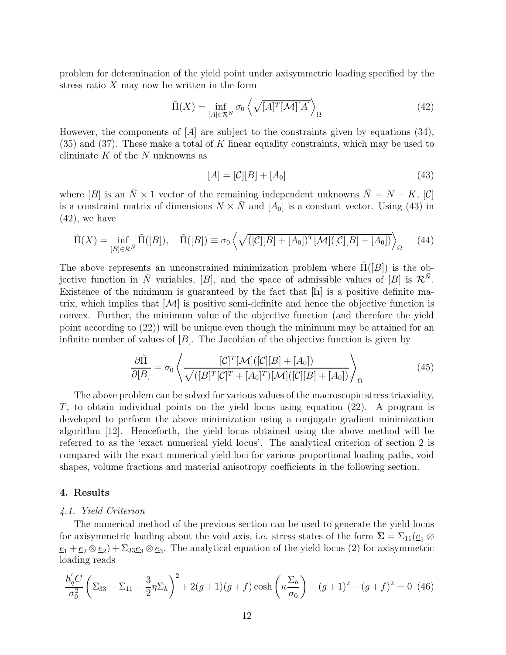problem for determination of the yield point under axisymmetric loading specified by the stress ratio  $X$  may now be written in the form

$$
\bar{\Pi}(X) = \inf_{[A] \in \mathcal{R}^N} \sigma_0 \left\langle \sqrt{[A]^T [\mathcal{M}][A]} \right\rangle_{\Omega} \tag{42}
$$

However, the components of  $[A]$  are subject to the constraints given by equations (34),  $(35)$  and  $(37)$ . These make a total of K linear equality constraints, which may be used to eliminate  $K$  of the  $N$  unknowns as

$$
[A] = [\mathcal{C}][B] + [A_0] \tag{43}
$$

where [B] is an  $\bar{N} \times 1$  vector of the remaining independent unknowns  $\bar{N} = N - K$ , [C] is a constraint matrix of dimensions  $N \times \overline{N}$  and  $[A_0]$  is a constant vector. Using (43) in  $(42)$ , we have

$$
\overline{\Pi}(X) = \inf_{[B] \in \mathcal{R}^{\tilde{N}}} \widetilde{\Pi}([B]), \quad \widetilde{\Pi}([B]) \equiv \sigma_0 \left\langle \sqrt{([C][B] + [A_0])^T [\mathcal{M}]([C][B] + [A_0])} \right\rangle_{\Omega} \tag{44}
$$

The above represents an unconstrained minimization problem where  $\Pi([B])$  is the objective function in  $\bar{N}$  variables, [B], and the space of admissible values of [B] is  $\mathcal{R}^{\bar{N}}$ . Existence of the minimum is guaranteed by the fact that  $[h]$  is a positive definite matrix, which implies that  $|\mathcal{M}|$  is positive semi-definite and hence the objective function is convex. Further, the minimum value of the objective function (and therefore the yield point according to (22)) will be unique even though the minimum may be attained for an infinite number of values of  $|B|$ . The Jacobian of the objective function is given by

$$
\frac{\partial \tilde{\Pi}}{\partial [B]} = \sigma_0 \left\langle \frac{[\mathcal{C}]^T [\mathcal{M}] ([\mathcal{C}] [B] + [A_0])}{\sqrt{([B]^T [\mathcal{C}]^T + [A_0]^T) [\mathcal{M}] ([\mathcal{C}] [B] + [A_0])}} \right\rangle_{\Omega} \tag{45}
$$

The above problem can be solved for various values of the macroscopic stress triaxiality, T, to obtain individual points on the yield locus using equation (22). A program is developed to perform the above minimization using a conjugate gradient minimization algorithm [12]. Henceforth, the yield locus obtained using the above method will be referred to as the 'exact numerical yield locus'. The analytical criterion of section 2 is compared with the exact numerical yield loci for various proportional loading paths, void shapes, volume fractions and material anisotropy coefficients in the following section.

### 4. Results

### 4.1. Yield Criterion

The numerical method of the previous section can be used to generate the yield locus for axisymmetric loading about the void axis, i.e. stress states of the form  $\Sigma = \Sigma_{11}(\underline{e}_1 \otimes$  $\underline{e}_1 + \underline{e}_2 \otimes \underline{e}_2 + \Sigma_{33} \underline{e}_3 \otimes \underline{e}_3$ . The analytical equation of the yield locus (2) for axisymmetric loading reads

$$
\frac{h_q'C}{\sigma_0^2} \left( \Sigma_{33} - \Sigma_{11} + \frac{3}{2} \eta \Sigma_h \right)^2 + 2(g+1)(g+f) \cosh\left(\kappa \frac{\Sigma_h}{\sigma_0}\right) - (g+1)^2 - (g+f)^2 = 0 \tag{46}
$$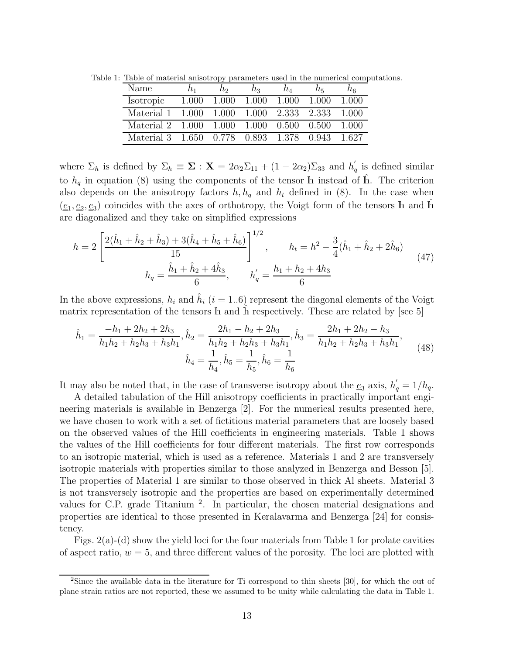| Name       |       | nэ    | nз    | nл          | n.,   | โห    |
|------------|-------|-------|-------|-------------|-------|-------|
| Isotropic  | 1.000 | 1.000 | 1.000 | 1.000       | 1.000 | 1 000 |
| Material 1 | 1.000 | 1.000 | 1.000 | 2.333 2.333 |       | 1.000 |
| Material 2 | 1.000 | 1.000 | 1.000 | 0.500       | 0.500 | 1.000 |
| Material 3 | 1.650 | 0.778 | 0.893 | 1.378       | 0.943 | 1.627 |

Table 1: Table of material anisotropy parameters used in the numerical computations.

where  $\Sigma_h$  is defined by  $\Sigma_h \equiv \Sigma : \mathbf{X} = 2\alpha_2 \Sigma_{11} + (1 - 2\alpha_2) \Sigma_{33}$  and  $h'_e$  $q$  is defined similar to  $h_q$  in equation (8) using the components of the tensor h instead of  $\hat{h}$ . The criterion also depends on the anisotropy factors  $h, h_q$  and  $h_t$  defined in (8). In the case when  $(\underline{e}_1, \underline{e}_2, \underline{e}_3)$  coincides with the axes of orthotropy, the Voigt form of the tensors h and  $\hat{h}$ are diagonalized and they take on simplified expressions

$$
h = 2\left[\frac{2(\hat{h}_1 + \hat{h}_2 + \hat{h}_3) + 3(\hat{h}_4 + \hat{h}_5 + \hat{h}_6)}{15}\right]^{1/2}, \qquad h_t = h^2 - \frac{3}{4}(\hat{h}_1 + \hat{h}_2 + 2\hat{h}_6)
$$
  

$$
h_q = \frac{\hat{h}_1 + \hat{h}_2 + 4\hat{h}_3}{6}, \qquad h'_q = \frac{h_1 + h_2 + 4h_3}{6}
$$
 (47)

In the above expressions,  $h_i$  and  $\hat{h}_i$  (i = 1..6) represent the diagonal elements of the Voigt matrix representation of the tensors  $\mathbb R$  and  $\mathbb R$  respectively. These are related by [see 5]

$$
\hat{h}_1 = \frac{-h_1 + 2h_2 + 2h_3}{h_1h_2 + h_2h_3 + h_3h_1}, \hat{h}_2 = \frac{2h_1 - h_2 + 2h_3}{h_1h_2 + h_2h_3 + h_3h_1}, \hat{h}_3 = \frac{2h_1 + 2h_2 - h_3}{h_1h_2 + h_2h_3 + h_3h_1},
$$
\n
$$
\hat{h}_4 = \frac{1}{h_4}, \hat{h}_5 = \frac{1}{h_5}, \hat{h}_6 = \frac{1}{h_6}
$$
\n(48)

It may also be noted that, in the case of transverse isotropy about the  $\underline{e}_3$  axis,  $h'_q = 1/h_q$ .

A detailed tabulation of the Hill anisotropy coefficients in practically important engineering materials is available in Benzerga [2]. For the numerical results presented here, we have chosen to work with a set of fictitious material parameters that are loosely based on the observed values of the Hill coefficients in engineering materials. Table 1 shows the values of the Hill coefficients for four different materials. The first row corresponds to an isotropic material, which is used as a reference. Materials 1 and 2 are transversely isotropic materials with properties similar to those analyzed in Benzerga and Besson [5]. The properties of Material 1 are similar to those observed in thick Al sheets. Material 3 is not transversely isotropic and the properties are based on experimentally determined values for C.P. grade Titanium<sup>2</sup>. In particular, the chosen material designations and properties are identical to those presented in Keralavarma and Benzerga [24] for consistency.

Figs.  $2(a)-(d)$  show the yield loci for the four materials from Table 1 for prolate cavities of aspect ratio,  $w = 5$ , and three different values of the porosity. The loci are plotted with

<sup>&</sup>lt;sup>2</sup>Since the available data in the literature for Ti correspond to thin sheets [30], for which the out of plane strain ratios are not reported, these we assumed to be unity while calculating the data in Table 1.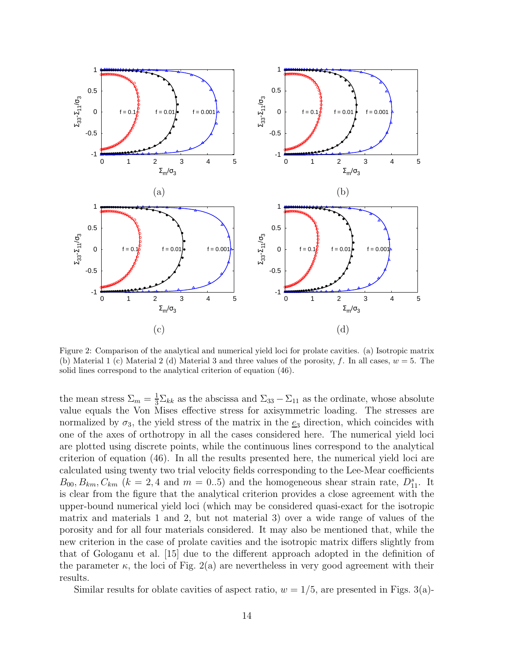

Figure 2: Comparison of the analytical and numerical yield loci for prolate cavities. (a) Isotropic matrix (b) Material 1 (c) Material 2 (d) Material 3 and three values of the porosity, f. In all cases,  $w = 5$ . The solid lines correspond to the analytical criterion of equation (46).

the mean stress  $\Sigma_m = \frac{1}{3} \Sigma_{kk}$  as the abscissa and  $\Sigma_{33} - \Sigma_{11}$  as the ordinate, whose absolute value equals the Von Mises effective stress for axisymmetric loading. The stresses are normalized by  $\sigma_3$ , the yield stress of the matrix in the  $e_3$  direction, which coincides with one of the axes of orthotropy in all the cases considered here. The numerical yield loci are plotted using discrete points, while the continuous lines correspond to the analytical criterion of equation (46). In all the results presented here, the numerical yield loci are calculated using twenty two trial velocity fields corresponding to the Lee-Mear coefficients  $B_{00}, B_{km}, C_{km}$  ( $k = 2, 4$  and  $m = 0..5$ ) and the homogeneous shear strain rate,  $D_{11}^s$ . It is clear from the figure that the analytical criterion provides a close agreement with the upper-bound numerical yield loci (which may be considered quasi-exact for the isotropic matrix and materials 1 and 2, but not material 3) over a wide range of values of the porosity and for all four materials considered. It may also be mentioned that, while the new criterion in the case of prolate cavities and the isotropic matrix differs slightly from that of Gologanu et al. [15] due to the different approach adopted in the definition of the parameter  $\kappa$ , the loci of Fig. 2(a) are nevertheless in very good agreement with their results.

Similar results for oblate cavities of aspect ratio,  $w = 1/5$ , are presented in Figs. 3(a)-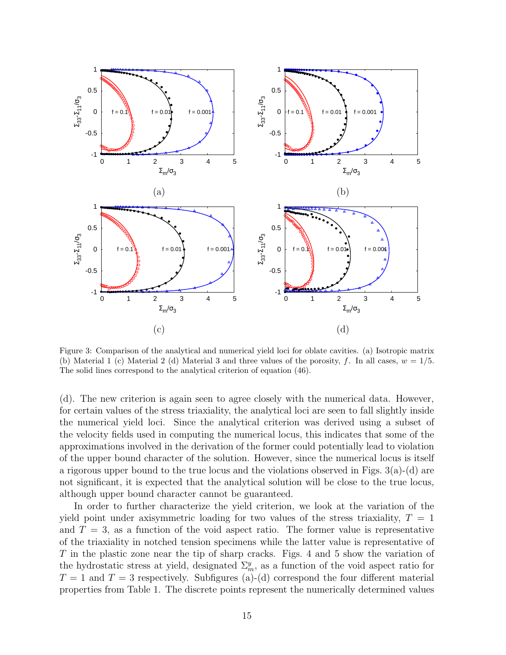

Figure 3: Comparison of the analytical and numerical yield loci for oblate cavities. (a) Isotropic matrix (b) Material 1 (c) Material 2 (d) Material 3 and three values of the porosity, f. In all cases,  $w = 1/5$ . The solid lines correspond to the analytical criterion of equation (46).

(d). The new criterion is again seen to agree closely with the numerical data. However, for certain values of the stress triaxiality, the analytical loci are seen to fall slightly inside the numerical yield loci. Since the analytical criterion was derived using a subset of the velocity fields used in computing the numerical locus, this indicates that some of the approximations involved in the derivation of the former could potentially lead to violation of the upper bound character of the solution. However, since the numerical locus is itself a rigorous upper bound to the true locus and the violations observed in Figs.  $3(a)-(d)$  are not significant, it is expected that the analytical solution will be close to the true locus, although upper bound character cannot be guaranteed.

In order to further characterize the yield criterion, we look at the variation of the yield point under axisymmetric loading for two values of the stress triaxiality,  $T = 1$ and  $T = 3$ , as a function of the void aspect ratio. The former value is representative of the triaxiality in notched tension specimens while the latter value is representative of T in the plastic zone near the tip of sharp cracks. Figs. 4 and 5 show the variation of the hydrostatic stress at yield, designated  $\Sigma_m^y$ , as a function of the void aspect ratio for  $T = 1$  and  $T = 3$  respectively. Subfigures (a)-(d) correspond the four different material properties from Table 1. The discrete points represent the numerically determined values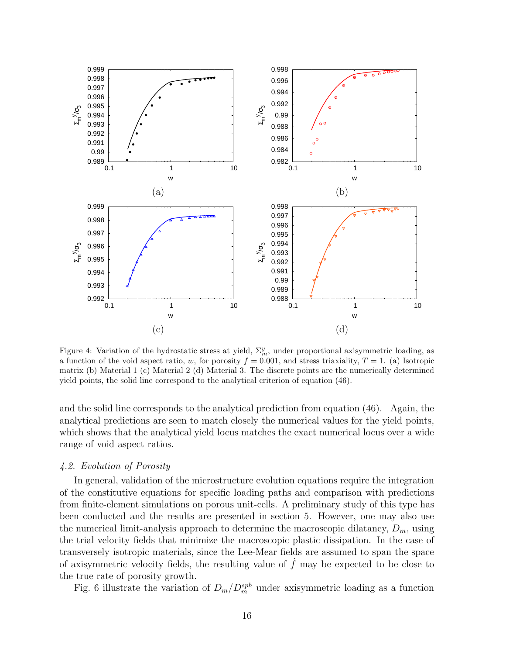

Figure 4: Variation of the hydrostatic stress at yield,  $\Sigma_m^y$ , under proportional axisymmetric loading, as a function of the void aspect ratio, w, for porosity  $f = 0.001$ , and stress triaxiality,  $T = 1$ . (a) Isotropic matrix (b) Material 1 (c) Material 2 (d) Material 3. The discrete points are the numerically determined yield points, the solid line correspond to the analytical criterion of equation (46).

and the solid line corresponds to the analytical prediction from equation (46). Again, the analytical predictions are seen to match closely the numerical values for the yield points, which shows that the analytical yield locus matches the exact numerical locus over a wide range of void aspect ratios.

# 4.2. Evolution of Porosity

In general, validation of the microstructure evolution equations require the integration of the constitutive equations for specific loading paths and comparison with predictions from finite-element simulations on porous unit-cells. A preliminary study of this type has been conducted and the results are presented in section 5. However, one may also use the numerical limit-analysis approach to determine the macroscopic dilatancy,  $D_m$ , using the trial velocity fields that minimize the macroscopic plastic dissipation. In the case of transversely isotropic materials, since the Lee-Mear fields are assumed to span the space of axisymmetric velocity fields, the resulting value of  $\hat{f}$  may be expected to be close to the true rate of porosity growth.

Fig. 6 illustrate the variation of  $D_m/D_m^{sph}$  under axisymmetric loading as a function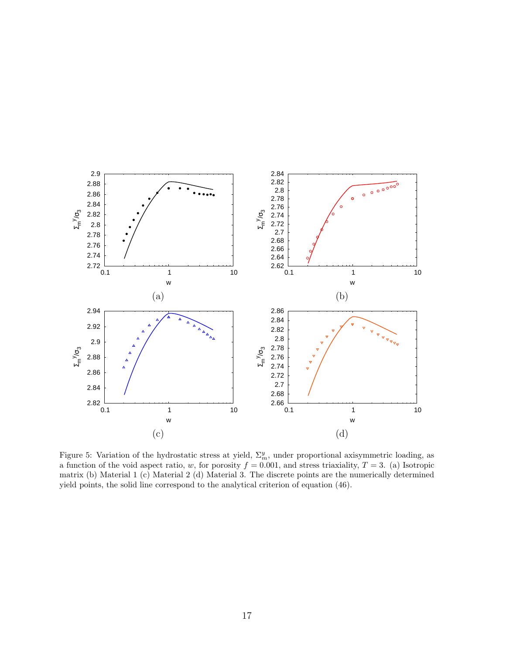

Figure 5: Variation of the hydrostatic stress at yield,  $\Sigma_m^y$ , under proportional axisymmetric loading, as a function of the void aspect ratio, w, for porosity  $f = 0.001$ , and stress triaxiality,  $T = 3$ . (a) Isotropic matrix (b) Material 1 (c) Material 2 (d) Material 3. The discrete points are the numerically determined yield points, the solid line correspond to the analytical criterion of equation (46).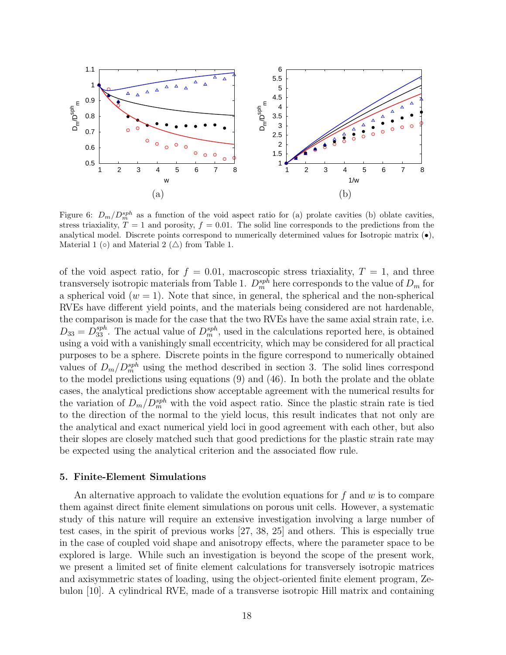

Figure 6:  $D_m/D_m^{sph}$  as a function of the void aspect ratio for (a) prolate cavities (b) oblate cavities, stress triaxiality,  $T = 1$  and porosity,  $f = 0.01$ . The solid line corresponds to the predictions from the analytical model. Discrete points correspond to numerically determined values for Isotropic matrix  $(\bullet)$ , Material 1 (◦) and Material 2 ( $\triangle$ ) from Table 1.

of the void aspect ratio, for  $f = 0.01$ , macroscopic stress triaxiality,  $T = 1$ , and three transversely isotropic materials from Table 1.  $D_m^{sph}$  here corresponds to the value of  $D_m$  for a spherical void  $(w = 1)$ . Note that since, in general, the spherical and the non-spherical RVEs have different yield points, and the materials being considered are not hardenable, the comparison is made for the case that the two RVEs have the same axial strain rate, i.e.  $D_{33} = D_{33}^{sph}$ . The actual value of  $D_m^{sph}$ , used in the calculations reported here, is obtained using a void with a vanishingly small eccentricity, which may be considered for all practical purposes to be a sphere. Discrete points in the figure correspond to numerically obtained values of  $D_m/D_m^{sph}$  using the method described in section 3. The solid lines correspond to the model predictions using equations (9) and (46). In both the prolate and the oblate cases, the analytical predictions show acceptable agreement with the numerical results for the variation of  $D_m/D_m^{sph}$  with the void aspect ratio. Since the plastic strain rate is tied to the direction of the normal to the yield locus, this result indicates that not only are the analytical and exact numerical yield loci in good agreement with each other, but also their slopes are closely matched such that good predictions for the plastic strain rate may be expected using the analytical criterion and the associated flow rule.

# 5. Finite-Element Simulations

An alternative approach to validate the evolution equations for  $f$  and  $w$  is to compare them against direct finite element simulations on porous unit cells. However, a systematic study of this nature will require an extensive investigation involving a large number of test cases, in the spirit of previous works [27, 38, 25] and others. This is especially true in the case of coupled void shape and anisotropy effects, where the parameter space to be explored is large. While such an investigation is beyond the scope of the present work, we present a limited set of finite element calculations for transversely isotropic matrices and axisymmetric states of loading, using the object-oriented finite element program, Zebulon [10]. A cylindrical RVE, made of a transverse isotropic Hill matrix and containing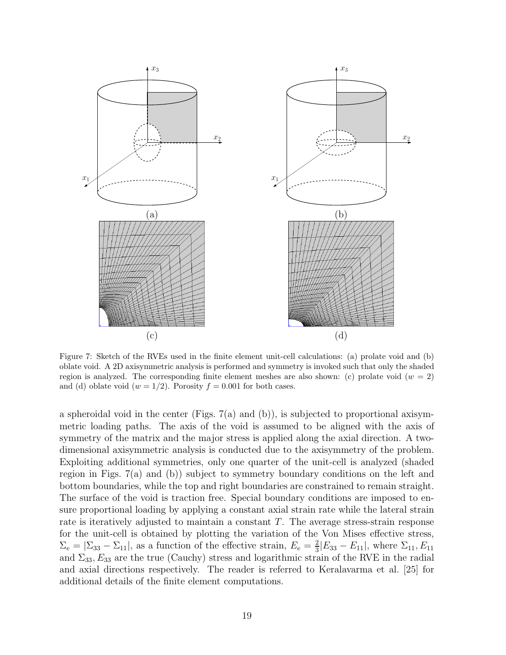

Figure 7: Sketch of the RVEs used in the finite element unit-cell calculations: (a) prolate void and (b) oblate void. A 2D axisymmetric analysis is performed and symmetry is invoked such that only the shaded region is analyzed. The corresponding finite element meshes are also shown: (c) prolate void  $(w = 2)$ and (d) oblate void  $(w = 1/2)$ . Porosity  $f = 0.001$  for both cases.

a spheroidal void in the center (Figs.  $7(a)$  and (b)), is subjected to proportional axisymmetric loading paths. The axis of the void is assumed to be aligned with the axis of symmetry of the matrix and the major stress is applied along the axial direction. A twodimensional axisymmetric analysis is conducted due to the axisymmetry of the problem. Exploiting additional symmetries, only one quarter of the unit-cell is analyzed (shaded region in Figs. 7(a) and (b)) subject to symmetry boundary conditions on the left and bottom boundaries, while the top and right boundaries are constrained to remain straight. The surface of the void is traction free. Special boundary conditions are imposed to ensure proportional loading by applying a constant axial strain rate while the lateral strain rate is iteratively adjusted to maintain a constant T. The average stress-strain response for the unit-cell is obtained by plotting the variation of the Von Mises effective stress,  $\Sigma_e = |\Sigma_{33} - \Sigma_{11}|$ , as a function of the effective strain,  $E_e = \frac{2}{3}$  $\frac{2}{3}$ [ $E_{33}$  –  $E_{11}$ ], where  $\Sigma_{11}$ ,  $E_{11}$ and  $\Sigma_{33}$ ,  $E_{33}$  are the true (Cauchy) stress and logarithmic strain of the RVE in the radial and axial directions respectively. The reader is referred to Keralavarma et al. [25] for additional details of the finite element computations.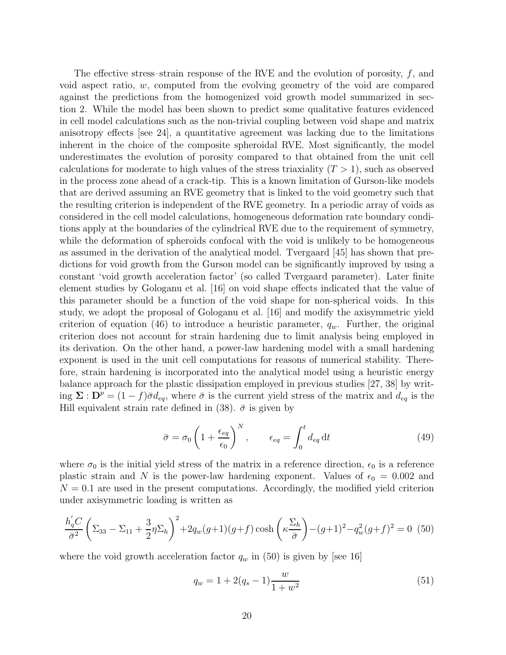The effective stress–strain response of the RVE and the evolution of porosity,  $f$ , and void aspect ratio, w, computed from the evolving geometry of the void are compared against the predictions from the homogenized void growth model summarized in section 2. While the model has been shown to predict some qualitative features evidenced in cell model calculations such as the non-trivial coupling between void shape and matrix anisotropy effects [see 24], a quantitative agreement was lacking due to the limitations inherent in the choice of the composite spheroidal RVE. Most significantly, the model underestimates the evolution of porosity compared to that obtained from the unit cell calculations for moderate to high values of the stress triaxiality  $(T > 1)$ , such as observed in the process zone ahead of a crack-tip. This is a known limitation of Gurson-like models that are derived assuming an RVE geometry that is linked to the void geometry such that the resulting criterion is independent of the RVE geometry. In a periodic array of voids as considered in the cell model calculations, homogeneous deformation rate boundary conditions apply at the boundaries of the cylindrical RVE due to the requirement of symmetry, while the deformation of spheroids confocal with the void is unlikely to be homogeneous as assumed in the derivation of the analytical model. Tvergaard [45] has shown that predictions for void growth from the Gurson model can be significantly improved by using a constant 'void growth acceleration factor' (so called Tvergaard parameter). Later finite element studies by Gologanu et al. [16] on void shape effects indicated that the value of this parameter should be a function of the void shape for non-spherical voids. In this study, we adopt the proposal of Gologanu et al. [16] and modify the axisymmetric yield criterion of equation (46) to introduce a heuristic parameter,  $q_w$ . Further, the original criterion does not account for strain hardening due to limit analysis being employed in its derivation. On the other hand, a power-law hardening model with a small hardening exponent is used in the unit cell computations for reasons of numerical stability. Therefore, strain hardening is incorporated into the analytical model using a heuristic energy balance approach for the plastic dissipation employed in previous studies [27, 38] by writing  $\Sigma : D^p = (1-f)\bar{\sigma}d_{eq}$ , where  $\bar{\sigma}$  is the current yield stress of the matrix and  $d_{eq}$  is the Hill equivalent strain rate defined in (38).  $\bar{\sigma}$  is given by

$$
\bar{\sigma} = \sigma_0 \left( 1 + \frac{\epsilon_{eq}}{\epsilon_0} \right)^N, \qquad \epsilon_{eq} = \int_0^t d_{eq} dt \qquad (49)
$$

where  $\sigma_0$  is the initial yield stress of the matrix in a reference direction,  $\epsilon_0$  is a reference plastic strain and N is the power-law hardening exponent. Values of  $\epsilon_0 = 0.002$  and  $N = 0.1$  are used in the present computations. Accordingly, the modified yield criterion under axisymmetric loading is written as

$$
\frac{h_q'C}{\bar{\sigma}^2} \left( \Sigma_{33} - \Sigma_{11} + \frac{3}{2} \eta \Sigma_h \right)^2 + 2q_w(g+1)(g+f) \cosh\left(\kappa \frac{\Sigma_h}{\bar{\sigma}}\right) - (g+1)^2 - q_w^2(g+f)^2 = 0 \tag{50}
$$

where the void growth acceleration factor  $q_w$  in (50) is given by [see 16]

$$
q_w = 1 + 2(q_s - 1)\frac{w}{1 + w^2} \tag{51}
$$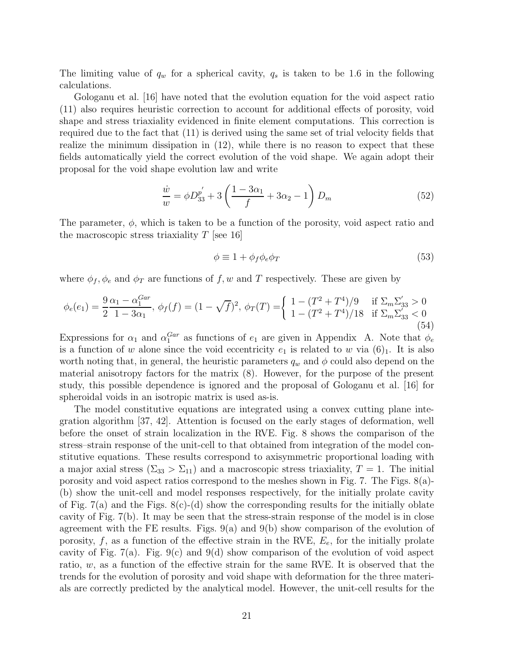The limiting value of  $q_w$  for a spherical cavity,  $q_s$  is taken to be 1.6 in the following calculations.

Gologanu et al. [16] have noted that the evolution equation for the void aspect ratio (11) also requires heuristic correction to account for additional effects of porosity, void shape and stress triaxiality evidenced in finite element computations. This correction is required due to the fact that (11) is derived using the same set of trial velocity fields that realize the minimum dissipation in (12), while there is no reason to expect that these fields automatically yield the correct evolution of the void shape. We again adopt their proposal for the void shape evolution law and write

$$
\frac{\dot{w}}{w} = \phi D_{33}^{p'} + 3\left(\frac{1 - 3\alpha_1}{f} + 3\alpha_2 - 1\right) D_m \tag{52}
$$

The parameter,  $\phi$ , which is taken to be a function of the porosity, void aspect ratio and the macroscopic stress triaxiality  $T$  [see 16]

$$
\phi \equiv 1 + \phi_f \phi_e \phi_T \tag{53}
$$

where  $\phi_f, \phi_e$  and  $\phi_T$  are functions of f, w and T respectively. These are given by

$$
\phi_e(e_1) = \frac{9}{2} \frac{\alpha_1 - \alpha_1^{Gar}}{1 - 3\alpha_1}, \ \phi_f(f) = (1 - \sqrt{f})^2, \ \phi_T(T) = \begin{cases} 1 - (T^2 + T^4)/9 & \text{if } \Sigma_m \Sigma_{33} > 0 \\ 1 - (T^2 + T^4)/18 & \text{if } \Sigma_m \Sigma_{33} < 0 \\ 0.54 & \text{if } \Sigma_m \Sigma_{33} < 0 \end{cases}
$$

Expressions for  $\alpha_1$  and  $\alpha_1^{Gar}$  as functions of  $e_1$  are given in Appendix A. Note that  $\phi_e$ is a function of w alone since the void eccentricity  $e_1$  is related to w via  $(6)_1$ . It is also worth noting that, in general, the heuristic parameters  $q_w$  and  $\phi$  could also depend on the material anisotropy factors for the matrix (8). However, for the purpose of the present study, this possible dependence is ignored and the proposal of Gologanu et al. [16] for spheroidal voids in an isotropic matrix is used as-is.

The model constitutive equations are integrated using a convex cutting plane integration algorithm [37, 42]. Attention is focused on the early stages of deformation, well before the onset of strain localization in the RVE. Fig. 8 shows the comparison of the stress–strain response of the unit-cell to that obtained from integration of the model constitutive equations. These results correspond to axisymmetric proportional loading with a major axial stress  $(\Sigma_{33} > \Sigma_{11})$  and a macroscopic stress triaxiality,  $T = 1$ . The initial porosity and void aspect ratios correspond to the meshes shown in Fig. 7. The Figs.  $8(a)$ -(b) show the unit-cell and model responses respectively, for the initially prolate cavity of Fig.  $7(a)$  and the Figs.  $8(c)-(d)$  show the corresponding results for the initially oblate cavity of Fig. 7(b). It may be seen that the stress-strain response of the model is in close agreement with the FE results. Figs.  $9(a)$  and  $9(b)$  show comparison of the evolution of porosity,  $f$ , as a function of the effective strain in the RVE,  $E_e$ , for the initially prolate cavity of Fig. 7(a). Fig. 9(c) and 9(d) show comparison of the evolution of void aspect ratio, w, as a function of the effective strain for the same RVE. It is observed that the trends for the evolution of porosity and void shape with deformation for the three materials are correctly predicted by the analytical model. However, the unit-cell results for the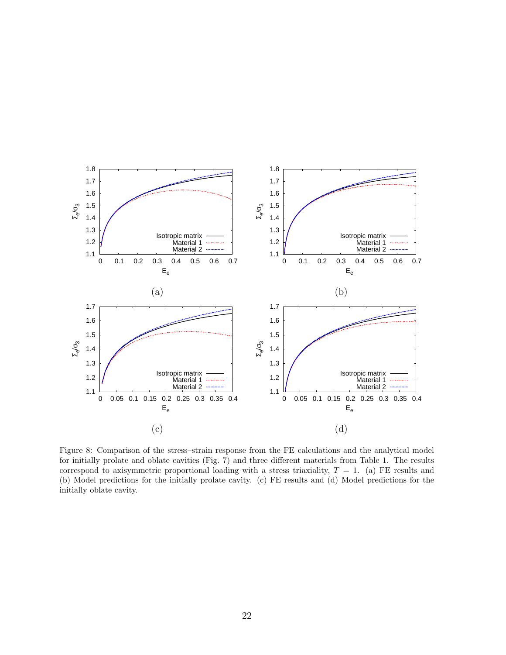

Figure 8: Comparison of the stress–strain response from the FE calculations and the analytical model for initially prolate and oblate cavities (Fig. 7) and three different materials from Table 1. The results correspond to axisymmetric proportional loading with a stress triaxiality,  $T = 1$ . (a) FE results and (b) Model predictions for the initially prolate cavity. (c) FE results and (d) Model predictions for the initially oblate cavity.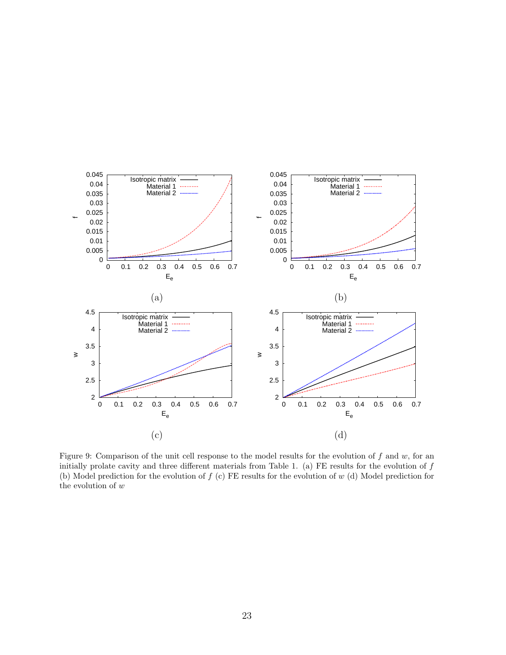

Figure 9: Comparison of the unit cell response to the model results for the evolution of  $f$  and  $w$ , for an initially prolate cavity and three different materials from Table 1. (a) FE results for the evolution of  $f$ (b) Model prediction for the evolution of  $f$  (c) FE results for the evolution of  $w$  (d) Model prediction for the evolution of  $\boldsymbol{w}$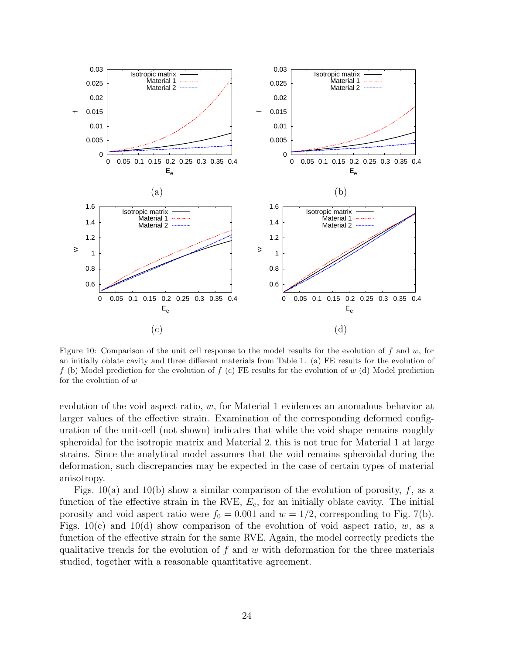

Figure 10: Comparison of the unit cell response to the model results for the evolution of  $f$  and  $w$ , for an initially oblate cavity and three different materials from Table 1. (a) FE results for the evolution of f (b) Model prediction for the evolution of  $f(c)$  FE results for the evolution of  $w$  (d) Model prediction for the evolution of  $w$ 

evolution of the void aspect ratio, w, for Material 1 evidences an anomalous behavior at larger values of the effective strain. Examination of the corresponding deformed configuration of the unit-cell (not shown) indicates that while the void shape remains roughly spheroidal for the isotropic matrix and Material 2, this is not true for Material 1 at large strains. Since the analytical model assumes that the void remains spheroidal during the deformation, such discrepancies may be expected in the case of certain types of material anisotropy.

Figs. 10(a) and 10(b) show a similar comparison of the evolution of porosity,  $f$ , as a function of the effective strain in the RVE,  $E_e$ , for an initially oblate cavity. The initial porosity and void aspect ratio were  $f_0 = 0.001$  and  $w = 1/2$ , corresponding to Fig. 7(b). Figs.  $10(c)$  and  $10(d)$  show comparison of the evolution of void aspect ratio, w, as a function of the effective strain for the same RVE. Again, the model correctly predicts the qualitative trends for the evolution of f and w with deformation for the three materials studied, together with a reasonable quantitative agreement.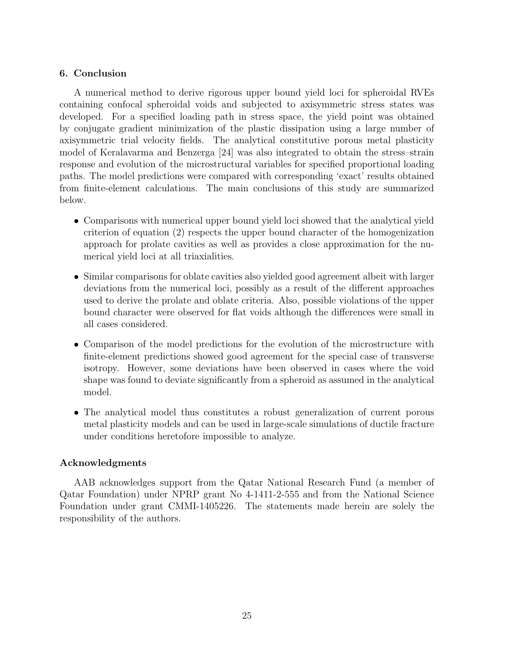# 6. Conclusion

A numerical method to derive rigorous upper bound yield loci for spheroidal RVEs containing confocal spheroidal voids and subjected to axisymmetric stress states was developed. For a specified loading path in stress space, the yield point was obtained by conjugate gradient minimization of the plastic dissipation using a large number of axisymmetric trial velocity fields. The analytical constitutive porous metal plasticity model of Keralavarma and Benzerga [24] was also integrated to obtain the stress–strain response and evolution of the microstructural variables for specified proportional loading paths. The model predictions were compared with corresponding 'exact' results obtained from finite-element calculations. The main conclusions of this study are summarized below.

- Comparisons with numerical upper bound yield loci showed that the analytical yield criterion of equation (2) respects the upper bound character of the homogenization approach for prolate cavities as well as provides a close approximation for the numerical yield loci at all triaxialities.
- Similar comparisons for oblate cavities also yielded good agreement albeit with larger deviations from the numerical loci, possibly as a result of the different approaches used to derive the prolate and oblate criteria. Also, possible violations of the upper bound character were observed for flat voids although the differences were small in all cases considered.
- Comparison of the model predictions for the evolution of the microstructure with finite-element predictions showed good agreement for the special case of transverse isotropy. However, some deviations have been observed in cases where the void shape was found to deviate significantly from a spheroid as assumed in the analytical model.
- The analytical model thus constitutes a robust generalization of current porous metal plasticity models and can be used in large-scale simulations of ductile fracture under conditions heretofore impossible to analyze.

# Acknowledgments

AAB acknowledges support from the Qatar National Research Fund (a member of Qatar Foundation) under NPRP grant No 4-1411-2-555 and from the National Science Foundation under grant CMMI-1405226. The statements made herein are solely the responsibility of the authors.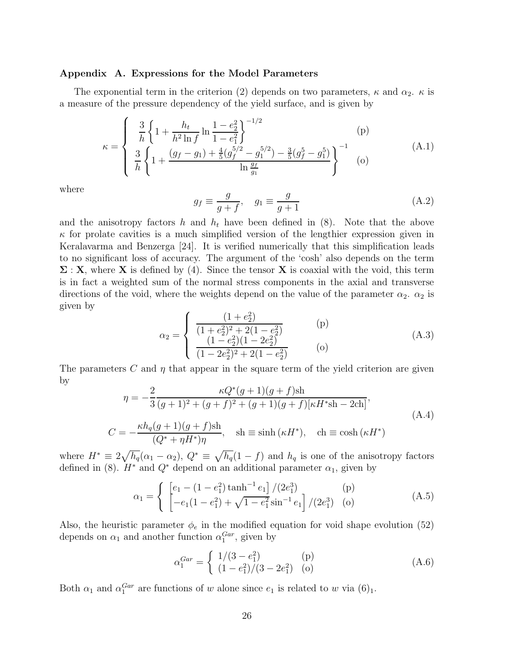#### Appendix A. Expressions for the Model Parameters

The exponential term in the criterion (2) depends on two parameters,  $\kappa$  and  $\alpha_2$ .  $\kappa$  is a measure of the pressure dependency of the yield surface, and is given by

$$
\kappa = \begin{cases} \frac{3}{h} \left\{ 1 + \frac{h_t}{h^2 \ln f} \ln \frac{1 - e_2^2}{1 - e_1^2} \right\}^{-(1/2)} & \text{(p)}\\ \frac{3}{h} \left\{ 1 + \frac{(g_f - g_1) + \frac{4}{5} (g_f^{5/2} - g_1^{5/2}) - \frac{3}{5} (g_f^5 - g_1^5)}{\ln \frac{g_f}{g_1}} \right\}^{-(1)} & \text{(A.1)} \end{cases}
$$

where

$$
g_f \equiv \frac{g}{g+f}, \quad g_1 \equiv \frac{g}{g+1}
$$
\n(A.2)

and the anisotropy factors h and  $h_t$  have been defined in (8). Note that the above  $\kappa$  for prolate cavities is a much simplified version of the lengthier expression given in Keralavarma and Benzerga [24]. It is verified numerically that this simplification leads to no significant loss of accuracy. The argument of the 'cosh' also depends on the term  $\Sigma : X$ , where X is defined by (4). Since the tensor X is coaxial with the void, this term is in fact a weighted sum of the normal stress components in the axial and transverse directions of the void, where the weights depend on the value of the parameter  $\alpha_2$ .  $\alpha_2$  is given by

$$
\alpha_2 = \begin{cases}\n\frac{(1+e_2^2)}{(1+e_2^2)^2 + 2(1-e_2^2)} & \text{(p)}\\ \n\frac{(1-e_2^2)(1-2e_2^2)}{(1-2e_2^2)^2 + 2(1-e_2^2)} & \text{(o)}\n\end{cases}
$$

The parameters C and  $\eta$  that appear in the square term of the yield criterion are given by

$$
\eta = -\frac{2}{3} \frac{\kappa Q^*(g+1)(g+f)\sh}{(g+1)^2 + (g+f)^2 + (g+1)(g+f)[\kappa H^*\sh - 2\text{ch}]},
$$
\n
$$
C = -\frac{\kappa h_q(g+1)(g+f)\sh}{(Q^* + \eta H^*)\eta}, \quad \sh \equiv \sinh(\kappa H^*), \quad \ch \equiv \cosh(\kappa H^*)
$$
\n(A.4)

where  $H^* \equiv 2\sqrt{h_q}(\alpha_1 - \alpha_2)$ ,  $Q^* \equiv \sqrt{h_q}(1 - f)$  and  $h_q$  is one of the anisotropy factors defined in (8).  $H^*$  and  $Q^*$  depend on an additional parameter  $\alpha_1$ , given by

$$
\alpha_1 = \begin{cases} \begin{bmatrix} e_1 - (1 - e_1^2) \tanh^{-1} e_1 \end{bmatrix} / (2e_1^3) & \text{(p)}\\ \begin{bmatrix} -e_1(1 - e_1^2) + \sqrt{1 - e_1^2} \sin^{-1} e_1 \end{bmatrix} / (2e_1^3) & \text{(o)} \end{cases} \tag{A.5}
$$

Also, the heuristic parameter  $\phi_e$  in the modified equation for void shape evolution (52) depends on  $\alpha_1$  and another function  $\alpha_1^{Gar}$ , given by

$$
\alpha_1^{Gar} = \begin{cases} 1/(3 - e_1^2) & \text{(p)}\\ (1 - e_1^2)/(3 - 2e_1^2) & \text{(o)} \end{cases}
$$
(A.6)

Both  $\alpha_1$  and  $\alpha_1^{Gar}$  are functions of w alone since  $e_1$  is related to w via  $(6)_1$ .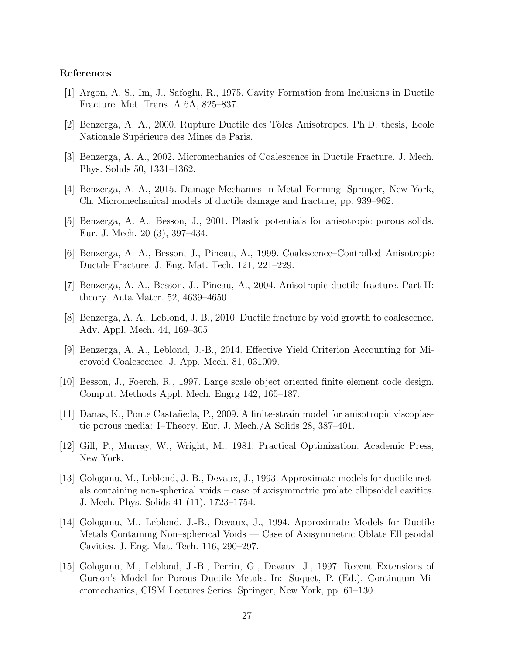# References

- [1] Argon, A. S., Im, J., Safoglu, R., 1975. Cavity Formation from Inclusions in Ductile Fracture. Met. Trans. A 6A, 825–837.
- [2] Benzerga, A. A., 2000. Rupture Ductile des Tˆoles Anisotropes. Ph.D. thesis, Ecole Nationale Supérieure des Mines de Paris.
- [3] Benzerga, A. A., 2002. Micromechanics of Coalescence in Ductile Fracture. J. Mech. Phys. Solids 50, 1331–1362.
- [4] Benzerga, A. A., 2015. Damage Mechanics in Metal Forming. Springer, New York, Ch. Micromechanical models of ductile damage and fracture, pp. 939–962.
- [5] Benzerga, A. A., Besson, J., 2001. Plastic potentials for anisotropic porous solids. Eur. J. Mech. 20 (3), 397–434.
- [6] Benzerga, A. A., Besson, J., Pineau, A., 1999. Coalescence–Controlled Anisotropic Ductile Fracture. J. Eng. Mat. Tech. 121, 221–229.
- [7] Benzerga, A. A., Besson, J., Pineau, A., 2004. Anisotropic ductile fracture. Part II: theory. Acta Mater. 52, 4639–4650.
- [8] Benzerga, A. A., Leblond, J. B., 2010. Ductile fracture by void growth to coalescence. Adv. Appl. Mech. 44, 169–305.
- [9] Benzerga, A. A., Leblond, J.-B., 2014. Effective Yield Criterion Accounting for Microvoid Coalescence. J. App. Mech. 81, 031009.
- [10] Besson, J., Foerch, R., 1997. Large scale object oriented finite element code design. Comput. Methods Appl. Mech. Engrg 142, 165–187.
- [11] Danas, K., Ponte Castañeda, P., 2009. A finite-strain model for anisotropic viscoplastic porous media: I–Theory. Eur. J. Mech./A Solids 28, 387–401.
- [12] Gill, P., Murray, W., Wright, M., 1981. Practical Optimization. Academic Press, New York.
- [13] Gologanu, M., Leblond, J.-B., Devaux, J., 1993. Approximate models for ductile metals containing non-spherical voids – case of axisymmetric prolate ellipsoidal cavities. J. Mech. Phys. Solids 41 (11), 1723–1754.
- [14] Gologanu, M., Leblond, J.-B., Devaux, J., 1994. Approximate Models for Ductile Metals Containing Non–spherical Voids — Case of Axisymmetric Oblate Ellipsoidal Cavities. J. Eng. Mat. Tech. 116, 290–297.
- [15] Gologanu, M., Leblond, J.-B., Perrin, G., Devaux, J., 1997. Recent Extensions of Gurson's Model for Porous Ductile Metals. In: Suquet, P. (Ed.), Continuum Micromechanics, CISM Lectures Series. Springer, New York, pp. 61–130.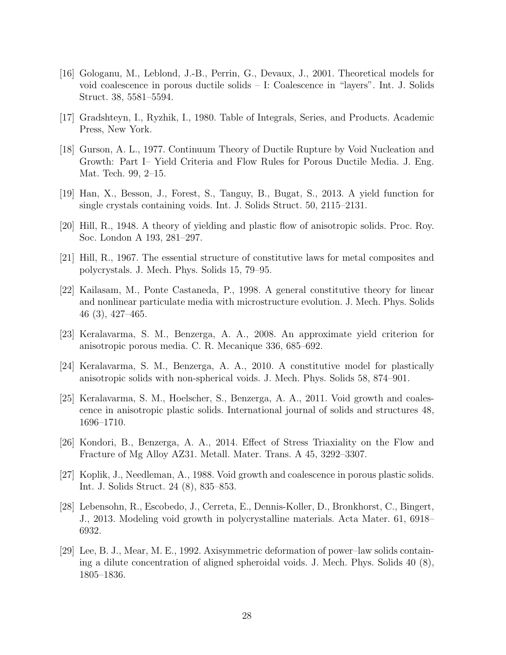- [16] Gologanu, M., Leblond, J.-B., Perrin, G., Devaux, J., 2001. Theoretical models for void coalescence in porous ductile solids – I: Coalescence in "layers". Int. J. Solids Struct. 38, 5581–5594.
- [17] Gradshteyn, I., Ryzhik, I., 1980. Table of Integrals, Series, and Products. Academic Press, New York.
- [18] Gurson, A. L., 1977. Continuum Theory of Ductile Rupture by Void Nucleation and Growth: Part I– Yield Criteria and Flow Rules for Porous Ductile Media. J. Eng. Mat. Tech. 99, 2–15.
- [19] Han, X., Besson, J., Forest, S., Tanguy, B., Bugat, S., 2013. A yield function for single crystals containing voids. Int. J. Solids Struct. 50, 2115–2131.
- [20] Hill, R., 1948. A theory of yielding and plastic flow of anisotropic solids. Proc. Roy. Soc. London A 193, 281–297.
- [21] Hill, R., 1967. The essential structure of constitutive laws for metal composites and polycrystals. J. Mech. Phys. Solids 15, 79–95.
- [22] Kailasam, M., Ponte Castaneda, P., 1998. A general constitutive theory for linear and nonlinear particulate media with microstructure evolution. J. Mech. Phys. Solids 46 (3), 427–465.
- [23] Keralavarma, S. M., Benzerga, A. A., 2008. An approximate yield criterion for anisotropic porous media. C. R. Mecanique 336, 685–692.
- [24] Keralavarma, S. M., Benzerga, A. A., 2010. A constitutive model for plastically anisotropic solids with non-spherical voids. J. Mech. Phys. Solids 58, 874–901.
- [25] Keralavarma, S. M., Hoelscher, S., Benzerga, A. A., 2011. Void growth and coalescence in anisotropic plastic solids. International journal of solids and structures 48, 1696–1710.
- [26] Kondori, B., Benzerga, A. A., 2014. Effect of Stress Triaxiality on the Flow and Fracture of Mg Alloy AZ31. Metall. Mater. Trans. A 45, 3292–3307.
- [27] Koplik, J., Needleman, A., 1988. Void growth and coalescence in porous plastic solids. Int. J. Solids Struct. 24 (8), 835–853.
- [28] Lebensohn, R., Escobedo, J., Cerreta, E., Dennis-Koller, D., Bronkhorst, C., Bingert, J., 2013. Modeling void growth in polycrystalline materials. Acta Mater. 61, 6918– 6932.
- [29] Lee, B. J., Mear, M. E., 1992. Axisymmetric deformation of power–law solids containing a dilute concentration of aligned spheroidal voids. J. Mech. Phys. Solids 40 (8), 1805–1836.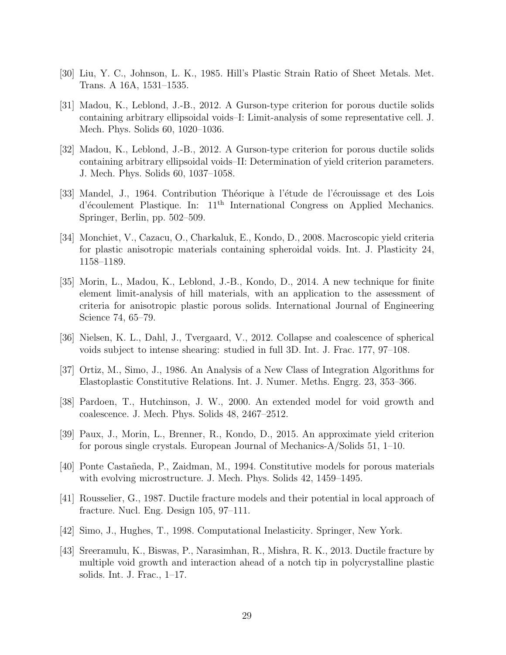- [30] Liu, Y. C., Johnson, L. K., 1985. Hill's Plastic Strain Ratio of Sheet Metals. Met. Trans. A 16A, 1531–1535.
- [31] Madou, K., Leblond, J.-B., 2012. A Gurson-type criterion for porous ductile solids containing arbitrary ellipsoidal voids–I: Limit-analysis of some representative cell. J. Mech. Phys. Solids 60, 1020–1036.
- [32] Madou, K., Leblond, J.-B., 2012. A Gurson-type criterion for porous ductile solids containing arbitrary ellipsoidal voids–II: Determination of yield criterion parameters. J. Mech. Phys. Solids 60, 1037–1058.
- [33] Mandel, J., 1964. Contribution Théorique à l'étude de l'écrouissage et des Lois  $d'$ écoulement Plastique. In:  $11<sup>th</sup>$  International Congress on Applied Mechanics. Springer, Berlin, pp. 502–509.
- [34] Monchiet, V., Cazacu, O., Charkaluk, E., Kondo, D., 2008. Macroscopic yield criteria for plastic anisotropic materials containing spheroidal voids. Int. J. Plasticity 24, 1158–1189.
- [35] Morin, L., Madou, K., Leblond, J.-B., Kondo, D., 2014. A new technique for finite element limit-analysis of hill materials, with an application to the assessment of criteria for anisotropic plastic porous solids. International Journal of Engineering Science 74, 65–79.
- [36] Nielsen, K. L., Dahl, J., Tvergaard, V., 2012. Collapse and coalescence of spherical voids subject to intense shearing: studied in full 3D. Int. J. Frac. 177, 97–108.
- [37] Ortiz, M., Simo, J., 1986. An Analysis of a New Class of Integration Algorithms for Elastoplastic Constitutive Relations. Int. J. Numer. Meths. Engrg. 23, 353–366.
- [38] Pardoen, T., Hutchinson, J. W., 2000. An extended model for void growth and coalescence. J. Mech. Phys. Solids 48, 2467–2512.
- [39] Paux, J., Morin, L., Brenner, R., Kondo, D., 2015. An approximate yield criterion for porous single crystals. European Journal of Mechanics-A/Solids 51, 1–10.
- [40] Ponte Casta˜neda, P., Zaidman, M., 1994. Constitutive models for porous materials with evolving microstructure. J. Mech. Phys. Solids 42, 1459–1495.
- [41] Rousselier, G., 1987. Ductile fracture models and their potential in local approach of fracture. Nucl. Eng. Design 105, 97–111.
- [42] Simo, J., Hughes, T., 1998. Computational Inelasticity. Springer, New York.
- [43] Sreeramulu, K., Biswas, P., Narasimhan, R., Mishra, R. K., 2013. Ductile fracture by multiple void growth and interaction ahead of a notch tip in polycrystalline plastic solids. Int. J. Frac., 1–17.